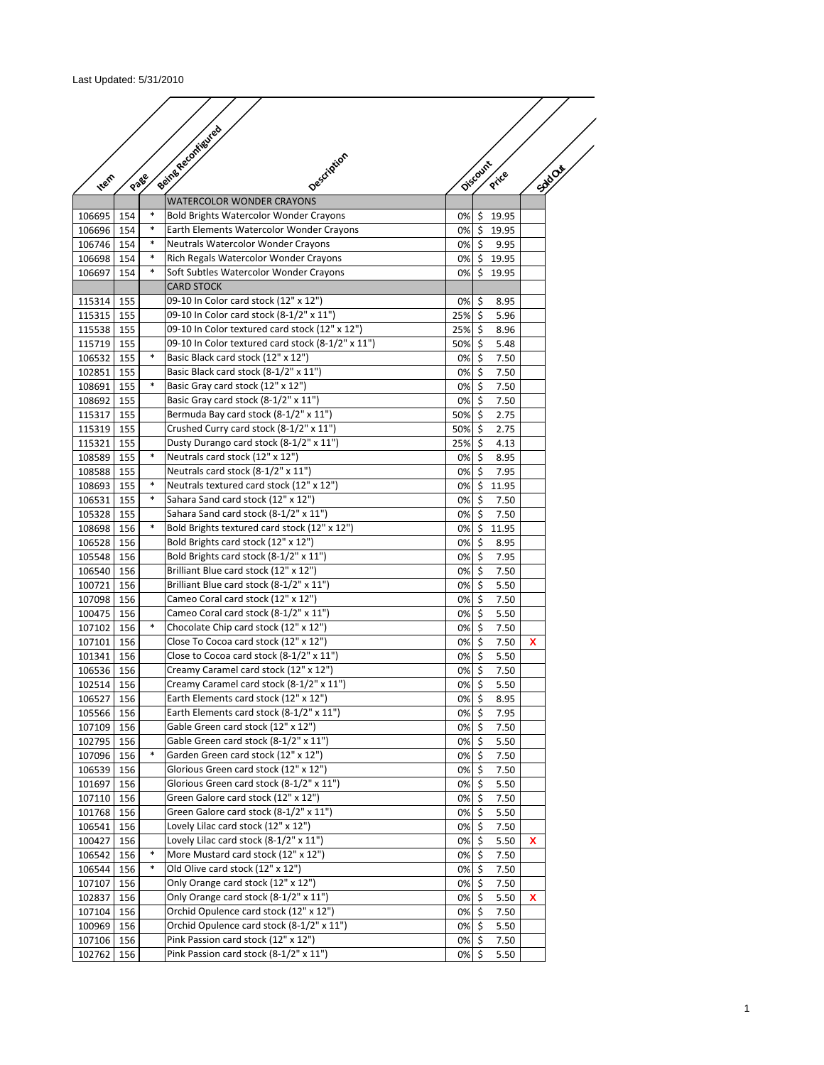|              |     |        | Being Recordings to                               |          |                      |         |   |        |
|--------------|-----|--------|---------------------------------------------------|----------|----------------------|---------|---|--------|
|              |     |        | Description                                       |          | Discount             |         |   | Soldow |
| <b>ITEIR</b> |     | Page   |                                                   |          |                      | Price   |   |        |
|              |     |        |                                                   |          |                      |         |   |        |
|              |     |        | <b>WATERCOLOR WONDER CRAYONS</b>                  |          |                      |         |   |        |
| 106695       | 154 | $\ast$ | <b>Bold Brights Watercolor Wonder Crayons</b>     | $0\%$    |                      | \$19.95 |   |        |
| 106696       | 154 | $\ast$ | Earth Elements Watercolor Wonder Crayons          | 0%       |                      | \$19.95 |   |        |
| 106746       | 154 | $\ast$ | Neutrals Watercolor Wonder Crayons                | 0%       | \$                   | 9.95    |   |        |
| 106698       | 154 | $\ast$ | Rich Regals Watercolor Wonder Crayons             | $0\%$    |                      | \$19.95 |   |        |
| 106697       | 154 | $\ast$ | Soft Subtles Watercolor Wonder Crayons            | 0%       | $\mathsf{\hat{S}}$   | 19.95   |   |        |
|              |     |        | <b>CARD STOCK</b>                                 |          |                      |         |   |        |
| 115314       | 155 |        | 09-10 In Color card stock (12" x 12")             | 0%       | \$                   | 8.95    |   |        |
| 115315       | 155 |        | 09-10 In Color card stock (8-1/2" x 11")          | 25%      | \$                   | 5.96    |   |        |
| 115538 155   |     |        | 09-10 In Color textured card stock (12" x 12")    | 25%      | \$                   | 8.96    |   |        |
| 115719 155   |     |        | 09-10 In Color textured card stock (8-1/2" x 11") | 50%      | \$                   | 5.48    |   |        |
| 106532       | 155 | $\ast$ | Basic Black card stock (12" x 12")                | 0%       | \$                   | 7.50    |   |        |
| 102851       | 155 |        | Basic Black card stock (8-1/2" x 11")             | 0%       | \$                   | 7.50    |   |        |
| 108691       | 155 | $\ast$ | Basic Gray card stock (12" x 12")                 | 0%       | \$                   | 7.50    |   |        |
| 108692 155   |     |        | Basic Gray card stock (8-1/2" x 11")              | 0%       | \$                   | 7.50    |   |        |
| 115317       | 155 |        | Bermuda Bay card stock (8-1/2" x 11")             | 50%      | \$                   | 2.75    |   |        |
| 115319 155   |     |        | Crushed Curry card stock (8-1/2" x 11")           | 50%      | $\overline{\xi}$     | 2.75    |   |        |
| 115321       | 155 |        | Dusty Durango card stock (8-1/2" x 11")           | 25%      | $\mathsf{\hat{S}}$   | 4.13    |   |        |
| 108589       | 155 | $\ast$ | Neutrals card stock (12" x 12")                   | 0%       | \$                   | 8.95    |   |        |
| 108588       | 155 |        | Neutrals card stock (8-1/2" x 11")                | 0%       | \$                   | 7.95    |   |        |
| 108693       | 155 | $\ast$ | Neutrals textured card stock (12" x 12")          | 0%       | \$                   | 11.95   |   |        |
| 106531       | 155 | $\ast$ | Sahara Sand card stock (12" x 12")                | 0%       | \$                   | 7.50    |   |        |
| 105328       | 155 |        | Sahara Sand card stock (8-1/2" x 11")             | 0%       | \$                   | 7.50    |   |        |
|              |     |        | Bold Brights textured card stock (12" x 12")      |          | \$                   |         |   |        |
| 108698       | 156 |        | Bold Brights card stock (12" x 12")               | 0%       |                      | 11.95   |   |        |
| 106528       | 156 |        |                                                   | 0%       | \$                   | 8.95    |   |        |
| 105548       | 156 |        | Bold Brights card stock (8-1/2" x 11")            | 0%       | \$                   | 7.95    |   |        |
| 106540       | 156 |        | Brilliant Blue card stock (12" x 12")             | 0%       | \$                   | 7.50    |   |        |
| 100721       | 156 |        | Brilliant Blue card stock (8-1/2" x 11")          | 0%       | \$                   | 5.50    |   |        |
| 107098       | 156 |        | Cameo Coral card stock (12" x 12")                | 0%       | \$                   | 7.50    |   |        |
| 100475       | 156 |        | Cameo Coral card stock (8-1/2" x 11")             | 0%       | $\overline{\xi}$     | 5.50    |   |        |
| 107102       | 156 | $\ast$ | Chocolate Chip card stock (12" x 12")             | 0%       | \$                   | 7.50    |   |        |
| 107101       | 156 |        | Close To Cocoa card stock (12" x 12")             | 0%       | \$                   | 7.50    | x |        |
| 101341       | 156 |        | Close to Cocoa card stock (8-1/2" x 11")          | 0%       | \$                   | 5.50    |   |        |
| 106536       | 156 |        | Creamy Caramel card stock (12" x 12")             | 0%       | \$                   | 7.50    |   |        |
| 102514       | 156 |        | Creamy Caramel card stock (8-1/2" x 11")          | 0%       | $\zeta$              | 5.50    |   |        |
| 106527       | 156 |        | Earth Elements card stock (12" x 12")             | 0% \$    |                      | 8.95    |   |        |
| 105566 156   |     |        | Earth Elements card stock (8-1/2" x 11")          | $0\%$ \$ |                      | 7.95    |   |        |
| 107109 156   |     |        | Gable Green card stock (12" x 12")                | 0%\$     |                      | 7.50    |   |        |
| 102795 156   |     |        | Gable Green card stock (8-1/2" x 11")             | 0%       | \$                   | 5.50    |   |        |
| 107096 156   |     |        | Garden Green card stock (12" x 12")               | 0%       | \$                   | 7.50    |   |        |
| 106539 156   |     |        | Glorious Green card stock (12" x 12")             | 0%       | \$                   | 7.50    |   |        |
| 101697       | 156 |        | Glorious Green card stock (8-1/2" x 11")          | 0%       | \$                   | 5.50    |   |        |
| 107110 156   |     |        | Green Galore card stock (12" x 12")               | 0%       | $\boldsymbol{\zeta}$ | 7.50    |   |        |
| 101768 156   |     |        | Green Galore card stock (8-1/2" x 11")            | 0%       | \$                   | 5.50    |   |        |
| 106541       | 156 |        | Lovely Lilac card stock (12" x 12")               | 0%       | \$                   | 7.50    |   |        |
| 100427       | 156 |        | Lovely Lilac card stock (8-1/2" x 11")            | 0%       | \$                   | 5.50    | x |        |
| 106542       | 156 | $\ast$ | More Mustard card stock (12" x 12")               | 0%       | \$                   | 7.50    |   |        |
|              |     | $\ast$ | Old Olive card stock (12" x 12")                  |          |                      |         |   |        |
| 106544       | 156 |        |                                                   | 0%       | \$                   | 7.50    |   |        |
| 107107       | 156 |        | Only Orange card stock (12" x 12")                | 0%       | \$                   | 7.50    |   |        |
| 102837       | 156 |        | Only Orange card stock (8-1/2" x 11")             | 0%       | \$                   | 5.50    | x |        |
| 107104       | 156 |        | Orchid Opulence card stock (12" x 12")            | 0%       | $\boldsymbol{\zeta}$ | 7.50    |   |        |
| 100969 156   |     |        | Orchid Opulence card stock (8-1/2" x 11")         | 0%       | \$                   | 5.50    |   |        |
| 107106 156   |     |        | Pink Passion card stock (12" x 12")               | 0%       | \$                   | 7.50    |   |        |
| 102762       | 156 |        | Pink Passion card stock (8-1/2" x 11")            | 0%       | \$                   | 5.50    |   |        |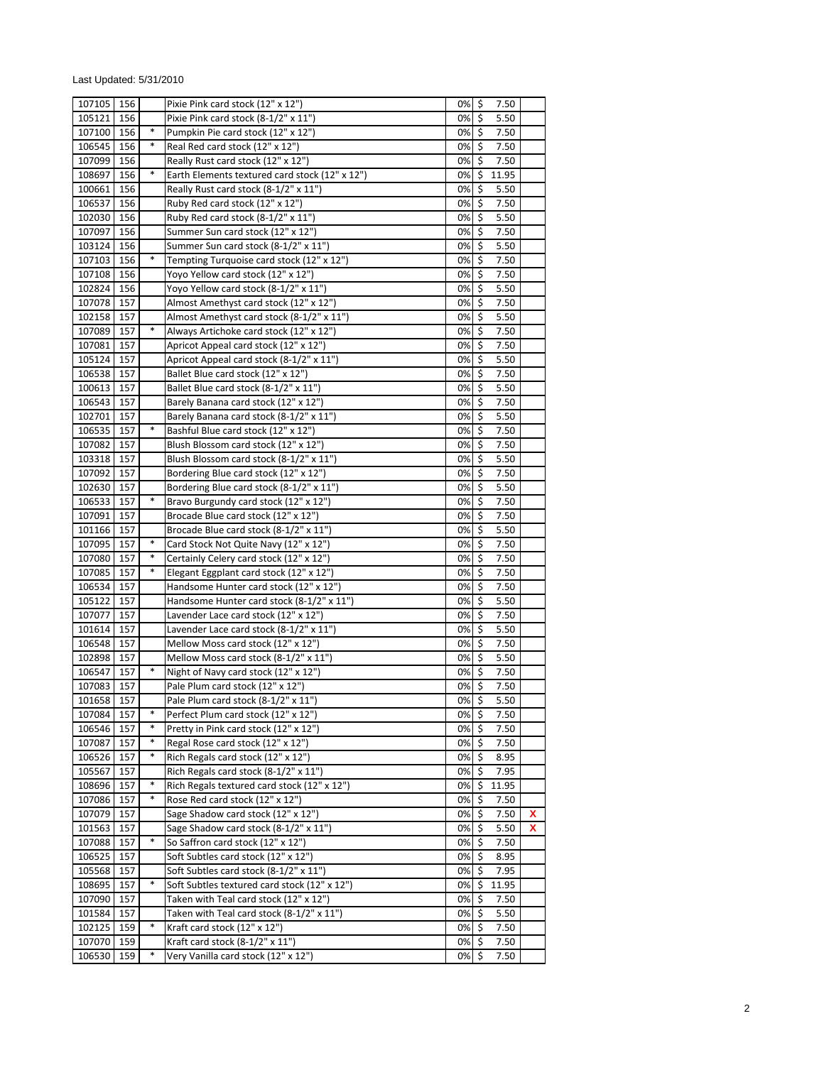| 107105 | 156 |        | Pixie Pink card stock (12" x 12")              | 0%    | \$                   | 7.50  |   |
|--------|-----|--------|------------------------------------------------|-------|----------------------|-------|---|
| 105121 | 156 |        | Pixie Pink card stock (8-1/2" x 11")           | 0%    | \$                   | 5.50  |   |
| 107100 | 156 | $\ast$ | Pumpkin Pie card stock (12" x 12")             | 0%    | \$                   | 7.50  |   |
| 106545 | 156 |        | Real Red card stock (12" x 12")                | 0%    | \$                   | 7.50  |   |
| 107099 | 156 |        | Really Rust card stock (12" x 12")             | 0%    | \$                   | 7.50  |   |
| 108697 | 156 | *      | Earth Elements textured card stock (12" x 12") | 0%    | \$                   | 11.95 |   |
| 100661 | 156 |        | Really Rust card stock (8-1/2" x 11")          | 0%    | \$                   | 5.50  |   |
| 106537 | 156 |        | Ruby Red card stock (12" x 12")                | 0%    | $\zeta$              | 7.50  |   |
| 102030 | 156 |        | Ruby Red card stock (8-1/2" x 11")             | 0%    | \$                   | 5.50  |   |
| 107097 | 156 |        | Summer Sun card stock (12" x 12")              | 0%    | \$                   | 7.50  |   |
|        |     |        | Summer Sun card stock (8-1/2" x 11")           | 0%    |                      |       |   |
| 103124 | 156 | *      |                                                |       | \$                   | 5.50  |   |
| 107103 | 156 |        | Tempting Turquoise card stock (12" x 12")      | 0%    | \$                   | 7.50  |   |
| 107108 | 156 |        | Yoyo Yellow card stock (12" x 12")             | 0%    | \$                   | 7.50  |   |
| 102824 | 156 |        | Yoyo Yellow card stock (8-1/2" x 11")          | 0%    | \$                   | 5.50  |   |
| 107078 | 157 |        | Almost Amethyst card stock (12" x 12")         | 0%    | \$                   | 7.50  |   |
| 102158 | 157 |        | Almost Amethyst card stock (8-1/2" x 11")      | 0%    | \$                   | 5.50  |   |
| 107089 | 157 | $\ast$ | Always Artichoke card stock (12" x 12")        | 0%    | $\boldsymbol{\zeta}$ | 7.50  |   |
| 107081 | 157 |        | Apricot Appeal card stock (12" x 12")          | 0%    | \$                   | 7.50  |   |
| 105124 | 157 |        | Apricot Appeal card stock (8-1/2" x 11")       | 0%    | \$                   | 5.50  |   |
| 106538 | 157 |        | Ballet Blue card stock (12" x 12")             | 0%    | \$                   | 7.50  |   |
| 100613 | 157 |        | Ballet Blue card stock (8-1/2" x 11")          | 0%    | \$                   | 5.50  |   |
| 106543 | 157 |        | Barely Banana card stock (12" x 12")           | 0%    | \$                   | 7.50  |   |
| 102701 | 157 |        | Barely Banana card stock (8-1/2" x 11")        | 0%    | \$                   | 5.50  |   |
|        | 157 | $\ast$ | Bashful Blue card stock (12" x 12")            |       | \$                   | 7.50  |   |
| 106535 |     |        |                                                | 0%    |                      |       |   |
| 107082 | 157 |        | Blush Blossom card stock (12" x 12")           | 0%    | \$                   | 7.50  |   |
| 103318 | 157 |        | Blush Blossom card stock (8-1/2" x 11")        | 0%    | \$                   | 5.50  |   |
| 107092 | 157 |        | Bordering Blue card stock (12" x 12")          | 0%    | \$                   | 7.50  |   |
| 102630 | 157 |        | Bordering Blue card stock (8-1/2" x 11")       | 0%    | \$                   | 5.50  |   |
| 106533 | 157 | *      | Bravo Burgundy card stock (12" x 12")          | 0%    | \$                   | 7.50  |   |
| 107091 | 157 |        | Brocade Blue card stock (12" x 12")            | 0%    | \$                   | 7.50  |   |
| 101166 | 157 |        | Brocade Blue card stock (8-1/2" x 11")         | 0%    | \$                   | 5.50  |   |
| 107095 | 157 | $\ast$ | Card Stock Not Quite Navy (12" x 12")          | 0%    | \$                   | 7.50  |   |
| 107080 | 157 | $\ast$ | Certainly Celery card stock (12" x 12")        | 0%    | $\zeta$              | 7.50  |   |
| 107085 | 157 | $\ast$ | Elegant Eggplant card stock (12" x 12")        | 0%    | \$                   | 7.50  |   |
| 106534 | 157 |        | Handsome Hunter card stock (12" x 12")         | 0%    | \$                   | 7.50  |   |
| 105122 | 157 |        | Handsome Hunter card stock (8-1/2" x 11")      | 0%    | \$                   | 5.50  |   |
| 107077 | 157 |        | Lavender Lace card stock (12" x 12")           | 0%    | \$                   | 7.50  |   |
|        | 157 |        | Lavender Lace card stock (8-1/2" x 11")        | 0%    | \$                   | 5.50  |   |
| 101614 |     |        | Mellow Moss card stock (12" x 12")             |       |                      |       |   |
| 106548 | 157 |        |                                                | 0%    | \$                   | 7.50  |   |
| 102898 | 157 |        | Mellow Moss card stock (8-1/2" x 11")          | 0%    | \$                   | 5.50  |   |
| 106547 | 157 | $\ast$ | Night of Navy card stock (12" x 12")           | 0%    | \$                   | 7.50  |   |
| 107083 | 157 |        | Pale Plum card stock (12" x 12")               | 0%    | $\zeta$              | 7.50  |   |
| 101658 | 157 |        | Pale Plum card stock (8-1/2" x 11")            | 0% \$ |                      | 5.50  |   |
| 107084 | 157 | $\ast$ | Perfect Plum card stock (12" x 12")            | 0%    | $\sqrt{ }$           | 7.50  |   |
| 106546 | 157 | $\ast$ | Pretty in Pink card stock (12" x 12")          | 0%    | $\ddot{\mathsf{S}}$  | 7.50  |   |
| 107087 | 157 | $\ast$ | Regal Rose card stock (12" x 12")              | 0%    | $\ddot{\mathsf{S}}$  | 7.50  |   |
| 106526 | 157 | $\ast$ | Rich Regals card stock (12" x 12")             | 0%    | \$                   | 8.95  |   |
| 105567 | 157 |        | Rich Regals card stock (8-1/2" x 11")          | 0%    | \$                   | 7.95  |   |
| 108696 | 157 | $\ast$ | Rich Regals textured card stock (12" x 12")    | 0%    | \$                   | 11.95 |   |
| 107086 | 157 |        | Rose Red card stock (12" x 12")                | 0%    | \$                   | 7.50  |   |
| 107079 | 157 |        | Sage Shadow card stock (12" x 12")             | 0%    | \$                   | 7.50  | x |
| 101563 | 157 |        | Sage Shadow card stock (8-1/2" x 11")          | 0%    | -\$                  | 5.50  | x |
| 107088 | 157 | $\ast$ | So Saffron card stock (12" x 12")              | 0%    | \$                   | 7.50  |   |
|        |     |        | Soft Subtles card stock (12" x 12")            |       |                      |       |   |
| 106525 | 157 |        | Soft Subtles card stock (8-1/2" x 11")         | 0%    | $\ddot{\mathsf{S}}$  | 8.95  |   |
| 105568 | 157 |        |                                                | 0%    | \$                   | 7.95  |   |
| 108695 | 157 | $\ast$ | Soft Subtles textured card stock (12" x 12")   | 0%    | \$                   | 11.95 |   |
| 107090 | 157 |        | Taken with Teal card stock (12" x 12")         | 0%    | $\zeta$              | 7.50  |   |
| 101584 | 157 |        | Taken with Teal card stock (8-1/2" x 11")      | 0%    | $\mathsf{\dot{S}}$   | 5.50  |   |
| 102125 | 159 | $\ast$ | Kraft card stock (12" x 12")                   | 0%    | \$                   | 7.50  |   |
| 107070 | 159 |        | Kraft card stock (8-1/2" x 11")                | 0%    | \$                   | 7.50  |   |
| 106530 | 159 | $\ast$ | Very Vanilla card stock (12" x 12")            | 0%    | \$                   | 7.50  |   |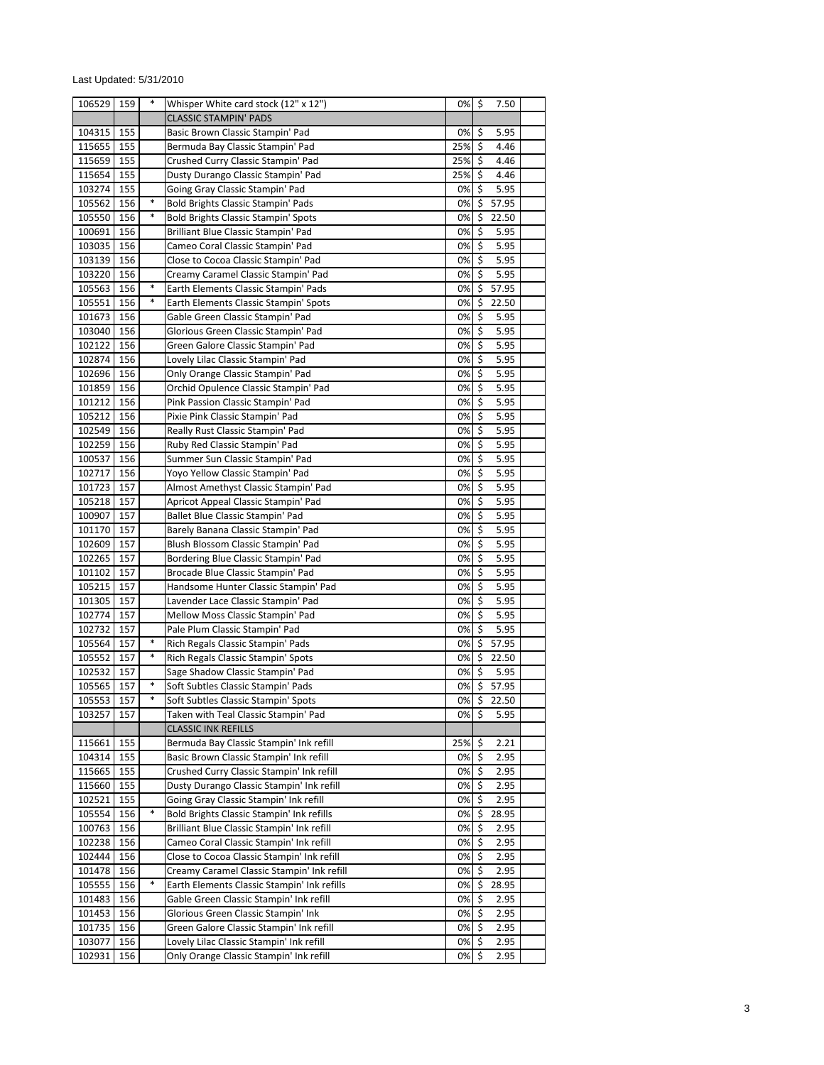| 106529 | 159 | $\ast$ | Whisper White card stock (12" x 12")        | 0%    | \$                   | 7.50  |  |
|--------|-----|--------|---------------------------------------------|-------|----------------------|-------|--|
|        |     |        |                                             |       |                      |       |  |
|        |     |        | <b>CLASSIC STAMPIN' PADS</b>                |       |                      |       |  |
| 104315 | 155 |        | Basic Brown Classic Stampin' Pad            | 0%    | \$                   | 5.95  |  |
| 115655 | 155 |        | Bermuda Bay Classic Stampin' Pad            | 25%   | $\zeta$              | 4.46  |  |
| 115659 | 155 |        | Crushed Curry Classic Stampin' Pad          | 25%   | \$                   | 4.46  |  |
| 115654 | 155 |        | Dusty Durango Classic Stampin' Pad          | 25%   | \$                   | 4.46  |  |
| 103274 | 155 |        | Going Gray Classic Stampin' Pad             | 0%    | \$                   | 5.95  |  |
|        |     | *      |                                             |       |                      |       |  |
| 105562 | 156 |        | <b>Bold Brights Classic Stampin' Pads</b>   | 0%    | \$                   | 57.95 |  |
| 105550 | 156 | $\ast$ | <b>Bold Brights Classic Stampin' Spots</b>  | 0%    | \$                   | 22.50 |  |
| 100691 | 156 |        | Brilliant Blue Classic Stampin' Pad         | 0%    | \$                   | 5.95  |  |
| 103035 | 156 |        | Cameo Coral Classic Stampin' Pad            | 0%    | \$                   | 5.95  |  |
| 103139 | 156 |        | Close to Cocoa Classic Stampin' Pad         | 0%    | \$                   | 5.95  |  |
| 103220 | 156 |        | Creamy Caramel Classic Stampin' Pad         | 0%    | \$                   | 5.95  |  |
| 105563 | 156 | *      | Earth Elements Classic Stampin' Pads        | 0%    | \$                   | 57.95 |  |
| 105551 | 156 | $\ast$ | Earth Elements Classic Stampin' Spots       | 0%    | \$                   | 22.50 |  |
|        |     |        |                                             |       |                      |       |  |
| 101673 | 156 |        | Gable Green Classic Stampin' Pad            | 0%    | \$                   | 5.95  |  |
| 103040 | 156 |        | Glorious Green Classic Stampin' Pad         | 0%    | \$                   | 5.95  |  |
| 102122 | 156 |        | Green Galore Classic Stampin' Pad           | 0%    | \$                   | 5.95  |  |
| 102874 | 156 |        | Lovely Lilac Classic Stampin' Pad           | 0%    | \$                   | 5.95  |  |
| 102696 | 156 |        | Only Orange Classic Stampin' Pad            | 0%    | \$                   | 5.95  |  |
| 101859 | 156 |        | Orchid Opulence Classic Stampin' Pad        | 0%    | \$                   | 5.95  |  |
| 101212 | 156 |        | Pink Passion Classic Stampin' Pad           | 0%    | \$                   | 5.95  |  |
| 105212 | 156 |        | Pixie Pink Classic Stampin' Pad             | 0%    | \$                   | 5.95  |  |
| 102549 | 156 |        | Really Rust Classic Stampin' Pad            | 0%    | \$                   | 5.95  |  |
|        |     |        |                                             |       |                      |       |  |
| 102259 | 156 |        | Ruby Red Classic Stampin' Pad               | 0%    | \$                   | 5.95  |  |
| 100537 | 156 |        | Summer Sun Classic Stampin' Pad             | 0%    | \$                   | 5.95  |  |
| 102717 | 156 |        | Yoyo Yellow Classic Stampin' Pad            | 0%    | \$                   | 5.95  |  |
| 101723 | 157 |        | Almost Amethyst Classic Stampin' Pad        | 0%    | \$                   | 5.95  |  |
| 105218 | 157 |        | Apricot Appeal Classic Stampin' Pad         | 0%    | $\boldsymbol{\zeta}$ | 5.95  |  |
| 100907 | 157 |        | Ballet Blue Classic Stampin' Pad            | 0%    | \$                   | 5.95  |  |
| 101170 | 157 |        | Barely Banana Classic Stampin' Pad          | 0%    | \$                   | 5.95  |  |
| 102609 | 157 |        | Blush Blossom Classic Stampin' Pad          | 0%    | \$                   | 5.95  |  |
| 102265 | 157 |        | Bordering Blue Classic Stampin' Pad         | 0%    | \$                   | 5.95  |  |
| 101102 | 157 |        | Brocade Blue Classic Stampin' Pad           | 0%    | \$                   | 5.95  |  |
| 105215 | 157 |        | Handsome Hunter Classic Stampin' Pad        | 0%    | \$                   | 5.95  |  |
| 101305 | 157 |        | Lavender Lace Classic Stampin' Pad          | 0%    | \$                   | 5.95  |  |
|        |     |        |                                             |       |                      |       |  |
| 102774 | 157 |        | Mellow Moss Classic Stampin' Pad            | 0%    | \$                   | 5.95  |  |
| 102732 | 157 |        | Pale Plum Classic Stampin' Pad              | 0%    | \$                   | 5.95  |  |
| 105564 | 157 | $\ast$ | Rich Regals Classic Stampin' Pads           | 0%    | \$                   | 57.95 |  |
| 105552 | 157 | $\ast$ | Rich Regals Classic Stampin' Spots          | 0%    | \$                   | 22.50 |  |
| 102532 | 157 |        | Sage Shadow Classic Stampin' Pad            | 0%    | $\zeta$              | 5.95  |  |
| 105565 | 157 | *      | Soft Subtles Classic Stampin' Pads          | 0%    | \$                   | 57.95 |  |
| 105553 | 157 |        | Soft Subtles Classic Stampin' Spots         | 0% \$ |                      | 22.50 |  |
| 103257 | 157 |        | Taken with Teal Classic Stampin' Pad        | 0%    | \$                   | 5.95  |  |
|        |     |        | <b>CLASSIC INK REFILLS</b>                  |       |                      |       |  |
| 115661 | 155 |        | Bermuda Bay Classic Stampin' Ink refill     | 25%   | $\zeta$              | 2.21  |  |
| 104314 | 155 |        | Basic Brown Classic Stampin' Ink refill     | 0%    | \$                   | 2.95  |  |
| 115665 | 155 |        | Crushed Curry Classic Stampin' Ink refill   | 0%    | $\ddot{\mathsf{S}}$  | 2.95  |  |
|        |     |        | Dusty Durango Classic Stampin' Ink refill   |       |                      |       |  |
| 115660 | 155 |        |                                             | 0%    | \$                   | 2.95  |  |
| 102521 | 155 |        | Going Gray Classic Stampin' Ink refill      | 0%    | \$                   | 2.95  |  |
| 105554 | 156 | *      | Bold Brights Classic Stampin' Ink refills   | 0%    | \$                   | 28.95 |  |
| 100763 | 156 |        | Brilliant Blue Classic Stampin' Ink refill  | 0%    | \$                   | 2.95  |  |
| 102238 | 156 |        | Cameo Coral Classic Stampin' Ink refill     | 0%    | \$                   | 2.95  |  |
| 102444 | 156 |        | Close to Cocoa Classic Stampin' Ink refill  | 0%    | $\ddot{\mathsf{S}}$  | 2.95  |  |
| 101478 | 156 |        | Creamy Caramel Classic Stampin' Ink refill  | 0%    | \$                   | 2.95  |  |
| 105555 | 156 |        | Earth Elements Classic Stampin' Ink refills | 0%    | \$                   | 28.95 |  |
| 101483 | 156 |        | Gable Green Classic Stampin' Ink refill     | 0%    | \$                   | 2.95  |  |
| 101453 | 156 |        | Glorious Green Classic Stampin' Ink         | 0%    | \$                   | 2.95  |  |
| 101735 | 156 |        | Green Galore Classic Stampin' Ink refill    | 0%    | $\zeta$              | 2.95  |  |
| 103077 | 156 |        | Lovely Lilac Classic Stampin' Ink refill    | 0%    | \$                   | 2.95  |  |
|        |     |        | Only Orange Classic Stampin' Ink refill     | 0%    | \$                   | 2.95  |  |
| 102931 | 156 |        |                                             |       |                      |       |  |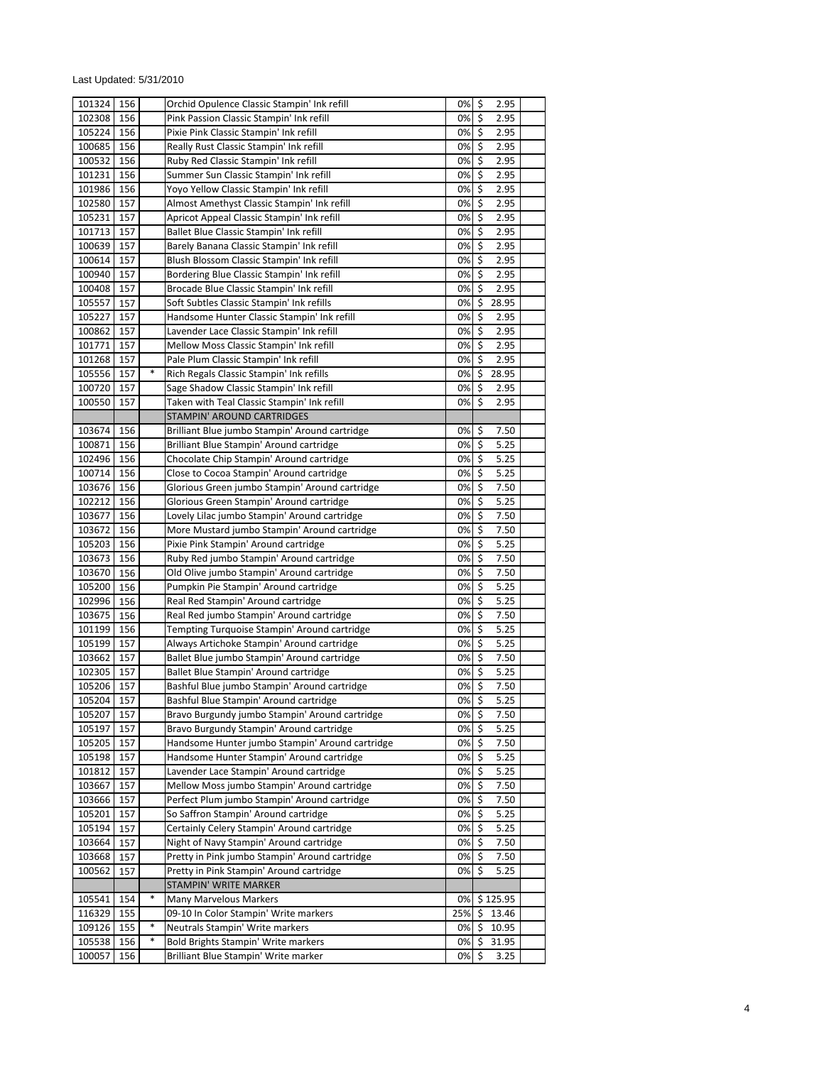| 101324 | 156 |        | Orchid Opulence Classic Stampin' Ink refill     | 0%  | \$<br>2.95                   |  |
|--------|-----|--------|-------------------------------------------------|-----|------------------------------|--|
| 102308 | 156 |        | Pink Passion Classic Stampin' Ink refill        | 0%  | \$<br>2.95                   |  |
| 105224 | 156 |        | Pixie Pink Classic Stampin' Ink refill          | 0%  | \$<br>2.95                   |  |
| 100685 | 156 |        | Really Rust Classic Stampin' Ink refill         | 0%  | \$<br>2.95                   |  |
| 100532 | 156 |        | Ruby Red Classic Stampin' Ink refill            | 0%  | \$<br>2.95                   |  |
| 101231 | 156 |        | Summer Sun Classic Stampin' Ink refill          | 0%  | \$<br>2.95                   |  |
| 101986 | 156 |        | Yoyo Yellow Classic Stampin' Ink refill         | 0%  | \$<br>2.95                   |  |
| 102580 | 157 |        | Almost Amethyst Classic Stampin' Ink refill     | 0%  | $\zeta$<br>2.95              |  |
| 105231 | 157 |        | Apricot Appeal Classic Stampin' Ink refill      | 0%  | \$<br>2.95                   |  |
| 101713 | 157 |        | Ballet Blue Classic Stampin' Ink refill         | 0%  | \$<br>2.95                   |  |
| 100639 | 157 |        | Barely Banana Classic Stampin' Ink refill       | 0%  | \$<br>2.95                   |  |
| 100614 | 157 |        | Blush Blossom Classic Stampin' Ink refill       | 0%  | \$<br>2.95                   |  |
| 100940 | 157 |        | Bordering Blue Classic Stampin' Ink refill      | 0%  | $\zeta$<br>2.95              |  |
| 100408 | 157 |        | Brocade Blue Classic Stampin' Ink refill        | 0%  | \$<br>2.95                   |  |
|        |     |        |                                                 |     |                              |  |
| 105557 | 157 |        | Soft Subtles Classic Stampin' Ink refills       | 0%  | \$<br>28.95                  |  |
| 105227 | 157 |        | Handsome Hunter Classic Stampin' Ink refill     | 0%  | \$<br>2.95                   |  |
| 100862 | 157 |        | Lavender Lace Classic Stampin' Ink refill       | 0%  | $\boldsymbol{\zeta}$<br>2.95 |  |
| 101771 | 157 |        | Mellow Moss Classic Stampin' Ink refill         | 0%  | \$<br>2.95                   |  |
| 101268 | 157 |        | Pale Plum Classic Stampin' Ink refill           | 0%  | \$<br>2.95                   |  |
| 105556 | 157 | $\ast$ | Rich Regals Classic Stampin' Ink refills        | 0%  | \$<br>28.95                  |  |
| 100720 | 157 |        | Sage Shadow Classic Stampin' Ink refill         | 0%  | \$<br>2.95                   |  |
| 100550 | 157 |        | Taken with Teal Classic Stampin' Ink refill     | 0%  | \$<br>2.95                   |  |
|        |     |        | <b>STAMPIN' AROUND CARTRIDGES</b>               |     |                              |  |
| 103674 | 156 |        | Brilliant Blue jumbo Stampin' Around cartridge  | 0%  | 7.50<br>\$                   |  |
| 100871 | 156 |        | Brilliant Blue Stampin' Around cartridge        | 0%  | \$<br>5.25                   |  |
| 102496 | 156 |        | Chocolate Chip Stampin' Around cartridge        | 0%  | 5.25<br>\$                   |  |
| 100714 | 156 |        | Close to Cocoa Stampin' Around cartridge        | 0%  | \$<br>5.25                   |  |
| 103676 | 156 |        | Glorious Green jumbo Stampin' Around cartridge  | 0%  | \$<br>7.50                   |  |
| 102212 | 156 |        | Glorious Green Stampin' Around cartridge        | 0%  | \$<br>5.25                   |  |
| 103677 | 156 |        | Lovely Lilac jumbo Stampin' Around cartridge    | 0%  | \$<br>7.50                   |  |
|        |     |        |                                                 |     |                              |  |
| 103672 | 156 |        | More Mustard jumbo Stampin' Around cartridge    | 0%  | \$<br>7.50                   |  |
| 105203 | 156 |        | Pixie Pink Stampin' Around cartridge            | 0%  | \$<br>5.25                   |  |
| 103673 | 156 |        | Ruby Red jumbo Stampin' Around cartridge        | 0%  | $\zeta$<br>7.50              |  |
| 103670 | 156 |        | Old Olive jumbo Stampin' Around cartridge       | 0%  | \$<br>7.50                   |  |
| 105200 | 156 |        | Pumpkin Pie Stampin' Around cartridge           | 0%  | \$<br>5.25                   |  |
| 102996 | 156 |        | Real Red Stampin' Around cartridge              | 0%  | \$<br>5.25                   |  |
| 103675 | 156 |        | Real Red jumbo Stampin' Around cartridge        | 0%  | \$<br>7.50                   |  |
| 101199 | 156 |        | Tempting Turquoise Stampin' Around cartridge    | 0%  | $\zeta$<br>5.25              |  |
| 105199 | 157 |        | Always Artichoke Stampin' Around cartridge      | 0%  | \$<br>5.25                   |  |
| 103662 | 157 |        | Ballet Blue jumbo Stampin' Around cartridge     | 0%  | \$<br>7.50                   |  |
| 102305 | 157 |        | Ballet Blue Stampin' Around cartridge           | 0%  | \$<br>5.25                   |  |
| 105206 | 157 |        | Bashful Blue jumbo Stampin' Around cartridge    | 0%  | $\overline{\xi}$<br>7.50     |  |
| 105204 | 157 |        | Bashful Blue Stampin' Around cartridge          | 0%  | \$<br>5.25                   |  |
| 105207 | 157 |        | Bravo Burgundy jumbo Stampin' Around cartridge  | 0%  | $\ddot{\mathsf{S}}$<br>7.50  |  |
| 105197 | 157 |        | Bravo Burgundy Stampin' Around cartridge        | 0%  | \$<br>5.25                   |  |
| 105205 | 157 |        | Handsome Hunter jumbo Stampin' Around cartridge | 0%  | \$<br>7.50                   |  |
| 105198 | 157 |        | Handsome Hunter Stampin' Around cartridge       | 0%  | \$<br>5.25                   |  |
| 101812 | 157 |        | Lavender Lace Stampin' Around cartridge         | 0%  | \$<br>5.25                   |  |
| 103667 | 157 |        | Mellow Moss jumbo Stampin' Around cartridge     | 0%  | \$<br>7.50                   |  |
|        |     |        | Perfect Plum jumbo Stampin' Around cartridge    |     | \$                           |  |
| 103666 | 157 |        |                                                 | 0%  | 7.50                         |  |
| 105201 | 157 |        | So Saffron Stampin' Around cartridge            | 0%  | \$<br>5.25                   |  |
| 105194 | 157 |        | Certainly Celery Stampin' Around cartridge      | 0%  | \$<br>5.25                   |  |
| 103664 | 157 |        | Night of Navy Stampin' Around cartridge         | 0%  | \$<br>7.50                   |  |
| 103668 | 157 |        | Pretty in Pink jumbo Stampin' Around cartridge  | 0%  | \$<br>7.50                   |  |
| 100562 | 157 |        | Pretty in Pink Stampin' Around cartridge        | 0%  | \$<br>5.25                   |  |
|        |     |        | STAMPIN' WRITE MARKER                           |     |                              |  |
| 105541 | 154 | $\ast$ | <b>Many Marvelous Markers</b>                   | 0%  | \$125.95                     |  |
| 116329 | 155 |        | 09-10 In Color Stampin' Write markers           | 25% | \$<br>13.46                  |  |
| 109126 | 155 | $\ast$ | Neutrals Stampin' Write markers                 | 0%  | \$<br>10.95                  |  |
| 105538 | 156 | $\ast$ | <b>Bold Brights Stampin' Write markers</b>      | 0%  | 31.95<br>\$                  |  |
| 100057 | 156 |        | Brilliant Blue Stampin' Write marker            | 0%  | \$<br>3.25                   |  |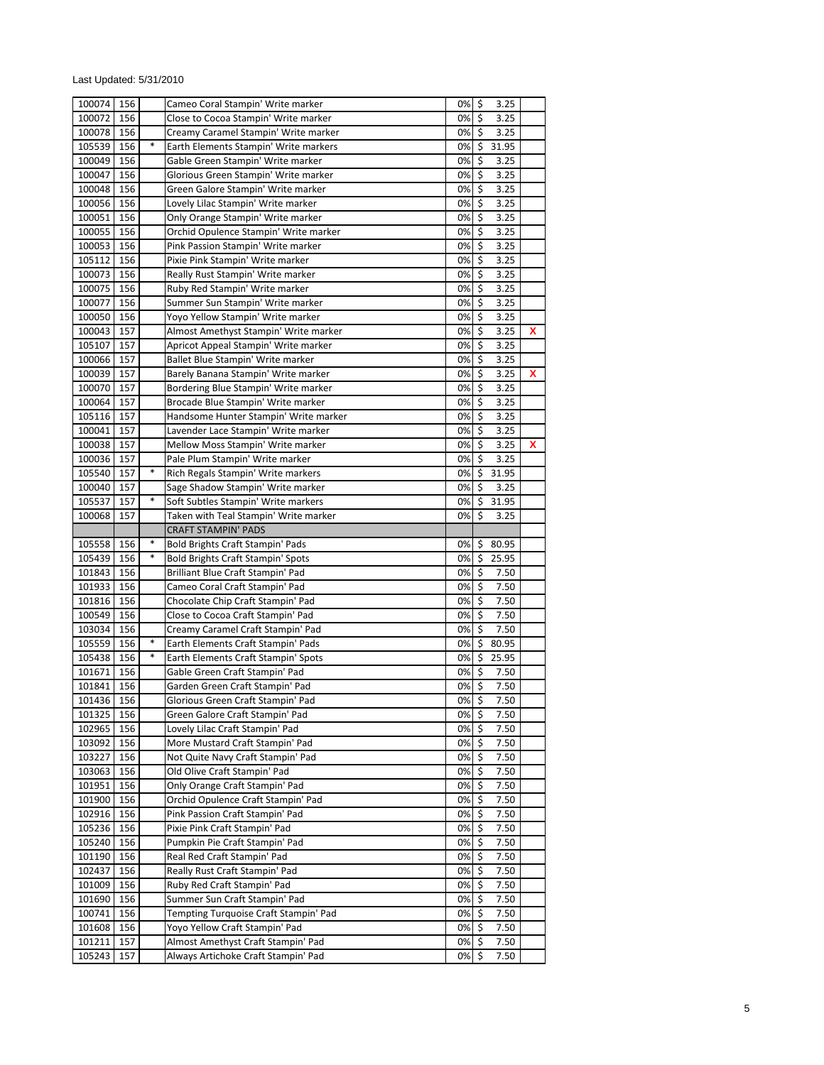| 100074           | 156        |        | Cameo Coral Stampin' Write marker                                         | 0%       | \$               | 3.25         |   |
|------------------|------------|--------|---------------------------------------------------------------------------|----------|------------------|--------------|---|
| 100072           | 156        |        | Close to Cocoa Stampin' Write marker                                      | 0%       | \$               | 3.25         |   |
| 100078           | 156        |        | Creamy Caramel Stampin' Write marker                                      | 0%       | \$               | 3.25         |   |
| 105539           | 156        | $\ast$ | Earth Elements Stampin' Write markers                                     | 0%       | $\overline{\xi}$ | 31.95        |   |
| 100049           | 156        |        | Gable Green Stampin' Write marker                                         | 0%       | \$               | 3.25         |   |
| 100047           | 156        |        | Glorious Green Stampin' Write marker                                      | 0%       | \$               | 3.25         |   |
| 100048           | 156        |        | Green Galore Stampin' Write marker                                        | 0%       | \$               | 3.25         |   |
| 100056           | 156        |        | Lovely Lilac Stampin' Write marker                                        | 0%       | \$               | 3.25         |   |
|                  |            |        |                                                                           |          |                  |              |   |
| 100051           | 156        |        | Only Orange Stampin' Write marker                                         | 0%       | \$               | 3.25         |   |
| 100055           | 156        |        | Orchid Opulence Stampin' Write marker                                     | 0%       | \$               | 3.25         |   |
| 100053           | 156        |        | Pink Passion Stampin' Write marker                                        | 0%       | \$               | 3.25         |   |
| 105112           | 156        |        | Pixie Pink Stampin' Write marker                                          | 0%       | $\overline{\xi}$ | 3.25         |   |
| 100073           | 156        |        | Really Rust Stampin' Write marker                                         | 0%       | $\overline{\xi}$ | 3.25         |   |
| 100075           | 156        |        | Ruby Red Stampin' Write marker                                            | 0%       | \$               | 3.25         |   |
| 100077           | 156        |        | Summer Sun Stampin' Write marker                                          | 0%       | \$               | 3.25         |   |
| 100050           | 156        |        | Yoyo Yellow Stampin' Write marker                                         | 0%       | \$               | 3.25         |   |
| 100043           | 157        |        | Almost Amethyst Stampin' Write marker                                     | 0%       | \$               | 3.25         | x |
| 105107           | 157        |        | Apricot Appeal Stampin' Write marker                                      | 0%       | \$               | 3.25         |   |
| 100066           | 157        |        | Ballet Blue Stampin' Write marker                                         | 0%       | \$               | 3.25         |   |
| 100039           | 157        |        | Barely Banana Stampin' Write marker                                       | 0%       | \$               | 3.25         | X |
| 100070           | 157        |        | Bordering Blue Stampin' Write marker                                      | 0%       | \$               | 3.25         |   |
| 100064           | 157        |        | Brocade Blue Stampin' Write marker                                        | 0%       | \$               | 3.25         |   |
| 105116           | 157        |        | Handsome Hunter Stampin' Write marker                                     | 0%       | \$               | 3.25         |   |
|                  |            |        |                                                                           |          |                  |              |   |
| 100041           | 157        |        | Lavender Lace Stampin' Write marker                                       | 0%       | $\varsigma$      | 3.25         |   |
| 100038           | 157        |        | Mellow Moss Stampin' Write marker                                         | 0%       | $\overline{\xi}$ | 3.25         | x |
| 100036           | 157        |        | Pale Plum Stampin' Write marker                                           | 0%       | \$               | 3.25         |   |
| 105540           | 157        | $\ast$ | Rich Regals Stampin' Write markers                                        | 0%       | \$               | 31.95        |   |
| 100040           | 157        |        | Sage Shadow Stampin' Write marker                                         | 0%       | \$               | 3.25         |   |
| 105537           | 157        | $\ast$ | Soft Subtles Stampin' Write markers                                       | 0%       | \$               | 31.95        |   |
| 100068           | 157        |        | Taken with Teal Stampin' Write marker                                     | 0%       | \$               | 3.25         |   |
|                  |            |        |                                                                           |          |                  |              |   |
|                  |            |        | <b>CRAFT STAMPIN' PADS</b>                                                |          |                  |              |   |
| 105558           | 156        | $\ast$ | <b>Bold Brights Craft Stampin' Pads</b>                                   | 0%       | \$               | 80.95        |   |
| 105439           | 156        | *      | <b>Bold Brights Craft Stampin' Spots</b>                                  | 0%       |                  | 25.95        |   |
|                  | 156        |        |                                                                           | 0%       | \$               | 7.50         |   |
| 101843           |            |        | Brilliant Blue Craft Stampin' Pad                                         |          | \$               |              |   |
| 101933           | 156        |        | Cameo Coral Craft Stampin' Pad                                            | 0%       | \$               | 7.50         |   |
| 101816           | 156        |        | Chocolate Chip Craft Stampin' Pad                                         | 0%       | \$               | 7.50         |   |
| 100549           | 156        |        | Close to Cocoa Craft Stampin' Pad                                         | 0%       | \$               | 7.50         |   |
| 103034           | 156        |        | Creamy Caramel Craft Stampin' Pad                                         | 0%       | \$               | 7.50         |   |
| 105559           | 156        | $\ast$ | Earth Elements Craft Stampin' Pads                                        | 0%       | \$               | 80.95        |   |
| 105438           | 156        | $\ast$ | Earth Elements Craft Stampin' Spots                                       | 0%       | \$               | 25.95        |   |
| 101671           | 156        |        | Gable Green Craft Stampin' Pad                                            | 0%       | \$               | 7.50         |   |
| 101841           | 156        |        | Garden Green Craft Stampin' Pad                                           | 0%       | $\zeta$          | 7.50         |   |
| 101436           | 156        |        | Glorious Green Craft Stampin' Pad                                         | 0%       | \$               | 7.50         |   |
| 101325           | 156        |        | Green Galore Craft Stampin' Pad                                           | 0%       | \$               | 7.50         |   |
| 102965           | 156        |        | Lovely Lilac Craft Stampin' Pad                                           | 0%       | \$               | 7.50         |   |
| 103092           | 156        |        | More Mustard Craft Stampin' Pad                                           | 0%       | \$               | 7.50         |   |
| 103227           | 156        |        | Not Quite Navy Craft Stampin' Pad                                         | 0%       | \$               | 7.50         |   |
| 103063           | 156        |        | Old Olive Craft Stampin' Pad                                              | 0%       | \$               | 7.50         |   |
| 101951           | 156        |        | Only Orange Craft Stampin' Pad                                            | 0%       | \$               | 7.50         |   |
| 101900           | 156        |        | Orchid Opulence Craft Stampin' Pad                                        | 0%       | \$               | 7.50         |   |
| 102916           | 156        |        | Pink Passion Craft Stampin' Pad                                           | 0%       | \$               | 7.50         |   |
|                  |            |        | Pixie Pink Craft Stampin' Pad                                             |          |                  |              |   |
| 105236           | 156        |        |                                                                           | 0%       | \$               | 7.50         |   |
| 105240           | 156        |        | Pumpkin Pie Craft Stampin' Pad                                            | 0%       | \$               | 7.50         |   |
| 101190           | 156        |        | Real Red Craft Stampin' Pad                                               | 0%       | \$               | 7.50         |   |
| 102437           | 156        |        | Really Rust Craft Stampin' Pad                                            | 0%       | \$               | 7.50         |   |
| 101009           | 156        |        | Ruby Red Craft Stampin' Pad                                               | 0%       | \$               | 7.50         |   |
| 101690           | 156        |        | Summer Sun Craft Stampin' Pad                                             | 0%       | \$               | 7.50         |   |
| 100741           | 156        |        | Tempting Turquoise Craft Stampin' Pad                                     | 0%       | \$               | 7.50         |   |
| 101608           | 156        |        | Yoyo Yellow Craft Stampin' Pad                                            | 0%       | $\zeta$          | 7.50         |   |
| 101211<br>105243 | 157<br>157 |        | Almost Amethyst Craft Stampin' Pad<br>Always Artichoke Craft Stampin' Pad | 0%<br>0% | \$<br>\$         | 7.50<br>7.50 |   |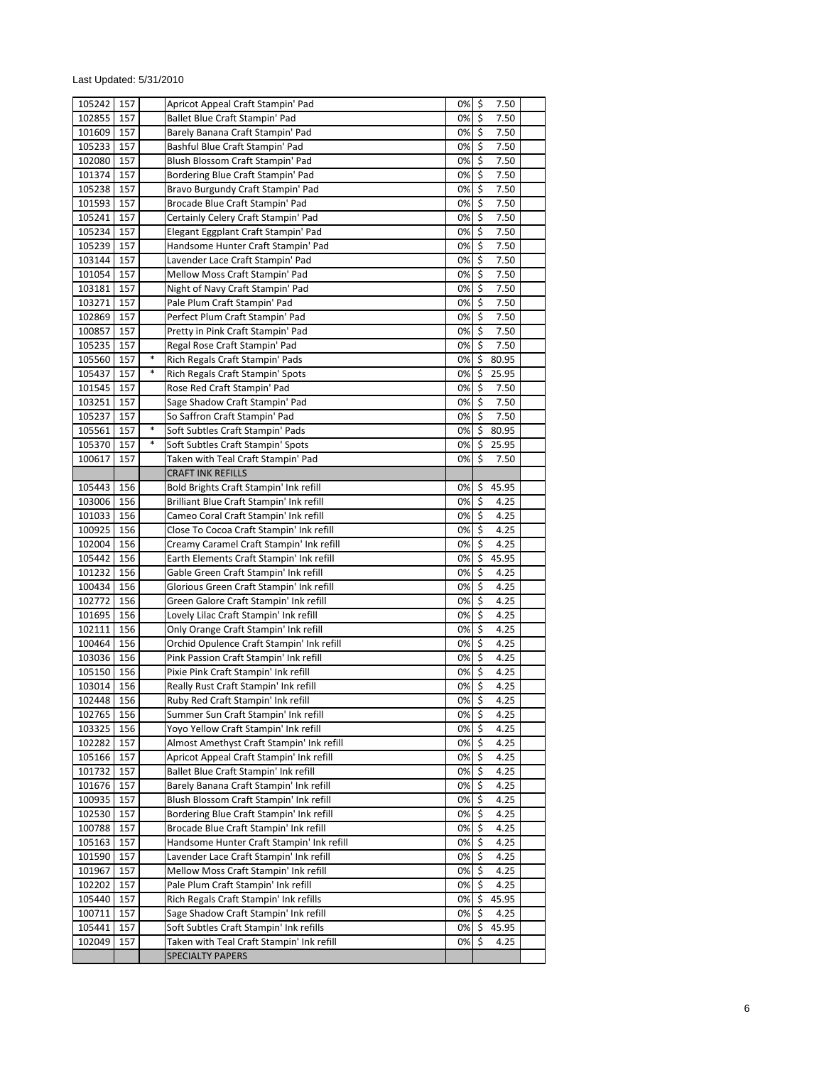| 105242 | 157 |        | Apricot Appeal Craft Stampin' Pad         | 0%    | \$<br>7.50                       |  |
|--------|-----|--------|-------------------------------------------|-------|----------------------------------|--|
| 102855 | 157 |        | Ballet Blue Craft Stampin' Pad            | 0%    | \$<br>7.50                       |  |
| 101609 | 157 |        | Barely Banana Craft Stampin' Pad          | 0%    | \$<br>7.50                       |  |
| 105233 | 157 |        | Bashful Blue Craft Stampin' Pad           | 0%    | \$<br>7.50                       |  |
| 102080 | 157 |        | Blush Blossom Craft Stampin' Pad          | 0%    | 7.50<br>\$                       |  |
| 101374 | 157 |        | Bordering Blue Craft Stampin' Pad         | 0%    | \$<br>7.50                       |  |
| 105238 | 157 |        | Bravo Burgundy Craft Stampin' Pad         | 0%    | \$<br>7.50                       |  |
| 101593 | 157 |        | Brocade Blue Craft Stampin' Pad           | 0%    | $\zeta$<br>7.50                  |  |
| 105241 | 157 |        | Certainly Celery Craft Stampin' Pad       | 0%    | \$<br>7.50                       |  |
| 105234 | 157 |        | Elegant Eggplant Craft Stampin' Pad       | 0%    | \$<br>7.50                       |  |
| 105239 | 157 |        | Handsome Hunter Craft Stampin' Pad        | 0%    | \$<br>7.50                       |  |
|        | 157 |        | Lavender Lace Craft Stampin' Pad          |       | $\overline{\mathcal{S}}$         |  |
| 103144 |     |        | Mellow Moss Craft Stampin' Pad            | 0%    | 7.50                             |  |
| 101054 | 157 |        |                                           | 0%    | \$<br>7.50                       |  |
| 103181 | 157 |        | Night of Navy Craft Stampin' Pad          | 0%    | \$<br>7.50                       |  |
| 103271 | 157 |        | Pale Plum Craft Stampin' Pad              | 0%    | \$<br>7.50                       |  |
| 102869 | 157 |        | Perfect Plum Craft Stampin' Pad           | 0%    | \$<br>7.50                       |  |
| 100857 | 157 |        | Pretty in Pink Craft Stampin' Pad         | 0%    | \$<br>7.50                       |  |
| 105235 | 157 |        | Regal Rose Craft Stampin' Pad             | 0%    | \$<br>7.50                       |  |
| 105560 | 157 | $\ast$ | Rich Regals Craft Stampin' Pads           | 0%    | \$<br>80.95                      |  |
| 105437 | 157 | $\ast$ | Rich Regals Craft Stampin' Spots          | 0%    | \$<br>25.95                      |  |
| 101545 | 157 |        | Rose Red Craft Stampin' Pad               | 0%    | \$<br>7.50                       |  |
| 103251 | 157 |        | Sage Shadow Craft Stampin' Pad            | 0%    | \$<br>7.50                       |  |
| 105237 | 157 |        | So Saffron Craft Stampin' Pad             | 0%    | \$<br>7.50                       |  |
| 105561 | 157 | $\ast$ | Soft Subtles Craft Stampin' Pads          | 0%    | \$<br>80.95                      |  |
| 105370 | 157 | $\ast$ | Soft Subtles Craft Stampin' Spots         | 0%    | \$<br>25.95                      |  |
| 100617 | 157 |        | Taken with Teal Craft Stampin' Pad        | 0%    | \$<br>7.50                       |  |
|        |     |        | <b>CRAFT INK REFILLS</b>                  |       |                                  |  |
|        |     |        |                                           |       |                                  |  |
| 105443 | 156 |        | Bold Brights Craft Stampin' Ink refill    | 0%    | \$<br>45.95                      |  |
| 103006 | 156 |        | Brilliant Blue Craft Stampin' Ink refill  | 0%    | $\boldsymbol{\zeta}$<br>4.25     |  |
| 101033 | 156 |        | Cameo Coral Craft Stampin' Ink refill     | 0%    | \$<br>4.25                       |  |
| 100925 | 156 |        | Close To Cocoa Craft Stampin' Ink refill  | 0%    | \$<br>4.25                       |  |
| 102004 | 156 |        | Creamy Caramel Craft Stampin' Ink refill  | 0%    | \$<br>4.25                       |  |
| 105442 | 156 |        | Earth Elements Craft Stampin' Ink refill  | 0%    | \$<br>45.95                      |  |
| 101232 | 156 |        | Gable Green Craft Stampin' Ink refill     | 0%    | \$<br>4.25                       |  |
| 100434 | 156 |        | Glorious Green Craft Stampin' Ink refill  | 0%    | \$<br>4.25                       |  |
| 102772 | 156 |        | Green Galore Craft Stampin' Ink refill    | 0%    | \$<br>4.25                       |  |
| 101695 | 156 |        | Lovely Lilac Craft Stampin' Ink refill    | 0%    | $\overline{\mathcal{S}}$<br>4.25 |  |
| 102111 | 156 |        | Only Orange Craft Stampin' Ink refill     | 0%    | \$<br>4.25                       |  |
| 100464 | 156 |        | Orchid Opulence Craft Stampin' Ink refill | 0%    | \$<br>4.25                       |  |
| 103036 | 156 |        | Pink Passion Craft Stampin' Ink refill    | 0%    | \$<br>4.25                       |  |
| 105150 | 156 |        | Pixie Pink Craft Stampin' Ink refill      | 0%    | \$<br>4.25                       |  |
| 103014 | 156 |        | Really Rust Craft Stampin' Ink refill     | 0%    | \$<br>4.25                       |  |
| 102448 | 156 |        | Ruby Red Craft Stampin' Ink refill        | 0% \$ | 4.25                             |  |
| 102765 | 156 |        | Summer Sun Craft Stampin' Ink refill      | 0%    | $\overline{\phantom{a}}$<br>4.25 |  |
| 103325 | 156 |        | Yoyo Yellow Craft Stampin' Ink refill     | 0%    | \$<br>4.25                       |  |
|        |     |        | Almost Amethyst Craft Stampin' Ink refill | 0%    | $\ddot{\mathsf{S}}$              |  |
| 102282 | 157 |        |                                           |       | 4.25                             |  |
| 105166 | 157 |        | Apricot Appeal Craft Stampin' Ink refill  | 0%    | \$<br>4.25                       |  |
| 101732 | 157 |        | Ballet Blue Craft Stampin' Ink refill     | 0%    | $\ddot{\mathsf{S}}$<br>4.25      |  |
| 101676 | 157 |        | Barely Banana Craft Stampin' Ink refill   | 0%    | \$<br>4.25                       |  |
| 100935 | 157 |        | Blush Blossom Craft Stampin' Ink refill   | 0%    | \$<br>4.25                       |  |
| 102530 | 157 |        | Bordering Blue Craft Stampin' Ink refill  | 0%    | \$<br>4.25                       |  |
| 100788 | 157 |        | Brocade Blue Craft Stampin' Ink refill    | 0%    | \$<br>4.25                       |  |
| 105163 | 157 |        | Handsome Hunter Craft Stampin' Ink refill | 0%    | \$<br>4.25                       |  |
| 101590 | 157 |        | Lavender Lace Craft Stampin' Ink refill   | 0%    | $\ddot{\mathsf{S}}$<br>4.25      |  |
| 101967 | 157 |        | Mellow Moss Craft Stampin' Ink refill     | 0%    | \$<br>4.25                       |  |
| 102202 | 157 |        | Pale Plum Craft Stampin' Ink refill       | 0%    | $\zeta$<br>4.25                  |  |
| 105440 | 157 |        | Rich Regals Craft Stampin' Ink refills    | 0%    | \$<br>45.95                      |  |
| 100711 | 157 |        | Sage Shadow Craft Stampin' Ink refill     | 0%    | $\zeta$<br>4.25                  |  |
| 105441 | 157 |        | Soft Subtles Craft Stampin' Ink refills   | 0%    | \$<br>45.95                      |  |
| 102049 | 157 |        | Taken with Teal Craft Stampin' Ink refill | 0%    | \$<br>4.25                       |  |
|        |     |        | <b>SPECIALTY PAPERS</b>                   |       |                                  |  |
|        |     |        |                                           |       |                                  |  |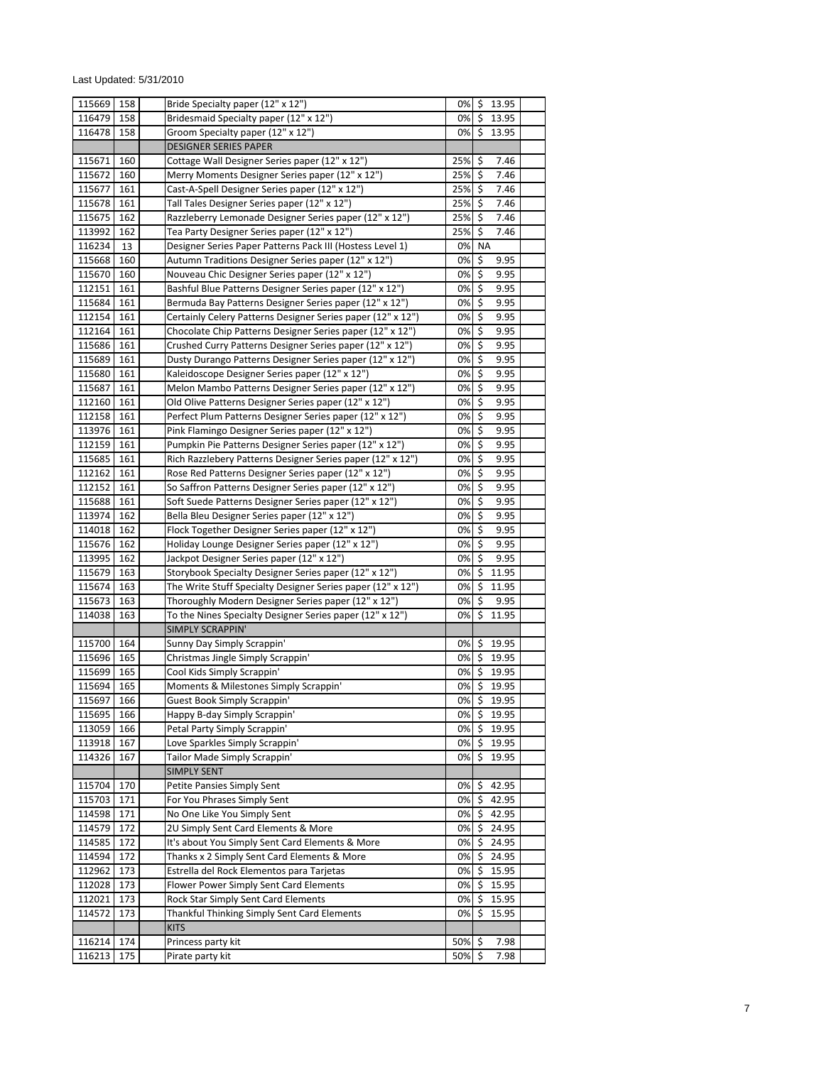| 115669 | 158 | Bride Specialty paper (12" x 12")                           | 0%    | \$        | 13.95 |  |
|--------|-----|-------------------------------------------------------------|-------|-----------|-------|--|
| 116479 | 158 | Bridesmaid Specialty paper (12" x 12")                      | 0%    | \$        | 13.95 |  |
| 116478 | 158 | Groom Specialty paper (12" x 12")                           | 0%    | \$        | 13.95 |  |
|        |     | <b>DESIGNER SERIES PAPER</b>                                |       |           |       |  |
| 115671 | 160 | Cottage Wall Designer Series paper (12" x 12")              | 25%   | \$        | 7.46  |  |
| 115672 | 160 | Merry Moments Designer Series paper (12" x 12")             | 25%   | \$        | 7.46  |  |
| 115677 | 161 | Cast-A-Spell Designer Series paper (12" x 12")              | 25%   | \$        | 7.46  |  |
| 115678 | 161 | Tall Tales Designer Series paper (12" x 12")                | 25%   | \$        | 7.46  |  |
| 115675 | 162 | Razzleberry Lemonade Designer Series paper (12" x 12")      | 25%   | \$        | 7.46  |  |
| 113992 | 162 | Tea Party Designer Series paper (12" x 12")                 | 25%   | \$        | 7.46  |  |
| 116234 | 13  | Designer Series Paper Patterns Pack III (Hostess Level 1)   | 0%    | <b>NA</b> |       |  |
| 115668 | 160 | Autumn Traditions Designer Series paper (12" x 12")         | 0%    | \$        | 9.95  |  |
| 115670 | 160 | Nouveau Chic Designer Series paper (12" x 12")              | 0%    | \$        | 9.95  |  |
|        |     | Bashful Blue Patterns Designer Series paper (12" x 12")     |       |           |       |  |
| 112151 | 161 |                                                             | 0%    | \$        | 9.95  |  |
| 115684 | 161 | Bermuda Bay Patterns Designer Series paper (12" x 12")      | 0%    | \$        | 9.95  |  |
| 112154 | 161 | Certainly Celery Patterns Designer Series paper (12" x 12") | 0%    | \$        | 9.95  |  |
| 112164 | 161 | Chocolate Chip Patterns Designer Series paper (12" x 12")   | 0%    | \$        | 9.95  |  |
| 115686 | 161 | Crushed Curry Patterns Designer Series paper (12" x 12")    | 0%    | \$        | 9.95  |  |
| 115689 | 161 | Dusty Durango Patterns Designer Series paper (12" x 12")    | 0%    | \$        | 9.95  |  |
| 115680 | 161 | Kaleidoscope Designer Series paper (12" x 12")              | 0%    | \$        | 9.95  |  |
| 115687 | 161 | Melon Mambo Patterns Designer Series paper (12" x 12")      | 0%    | $\zeta$   | 9.95  |  |
| 112160 | 161 | Old Olive Patterns Designer Series paper (12" x 12")        | 0%    | \$        | 9.95  |  |
| 112158 | 161 | Perfect Plum Patterns Designer Series paper (12" x 12")     | 0%    | \$        | 9.95  |  |
| 113976 | 161 | Pink Flamingo Designer Series paper (12" x 12")             | 0%    | \$        | 9.95  |  |
| 112159 | 161 | Pumpkin Pie Patterns Designer Series paper (12" x 12")      | 0%    | $\zeta$   | 9.95  |  |
| 115685 | 161 | Rich Razzlebery Patterns Designer Series paper (12" x 12")  | 0%    | \$        | 9.95  |  |
| 112162 | 161 | Rose Red Patterns Designer Series paper (12" x 12")         | 0%    | \$        | 9.95  |  |
| 112152 | 161 | So Saffron Patterns Designer Series paper (12" x 12")       | 0%    | \$        | 9.95  |  |
|        | 161 |                                                             |       | $\zeta$   | 9.95  |  |
| 115688 |     | Soft Suede Patterns Designer Series paper (12" x 12")       | 0%    |           |       |  |
| 113974 | 162 | Bella Bleu Designer Series paper (12" x 12")                | 0%    | \$        | 9.95  |  |
| 114018 | 162 | Flock Together Designer Series paper (12" x 12")            | 0%    | \$        | 9.95  |  |
| 115676 | 162 | Holiday Lounge Designer Series paper (12" x 12")            | 0%    | \$        | 9.95  |  |
| 113995 | 162 | Jackpot Designer Series paper (12" x 12")                   | 0%    | \$        | 9.95  |  |
| 115679 | 163 | Storybook Specialty Designer Series paper (12" x 12")       | 0%    | \$        | 11.95 |  |
| 115674 | 163 | The Write Stuff Specialty Designer Series paper (12" x 12") | 0%    | \$        | 11.95 |  |
| 115673 | 163 | Thoroughly Modern Designer Series paper (12" x 12")         | 0%    | \$        | 9.95  |  |
| 114038 | 163 | To the Nines Specialty Designer Series paper (12" x 12")    | 0%    | \$        | 11.95 |  |
|        |     | <b>SIMPLY SCRAPPIN'</b>                                     |       |           |       |  |
| 115700 | 164 | Sunny Day Simply Scrappin'                                  | 0%    | \$        | 19.95 |  |
| 115696 | 165 | Christmas Jingle Simply Scrappin'                           | 0%    | \$        | 19.95 |  |
| 115699 | 165 | Cool Kids Simply Scrappin'                                  | 0%    | \$        | 19.95 |  |
| 115694 | 165 | Moments & Milestones Simply Scrappin'                       | 0%    | \$        | 19.95 |  |
| 115697 | 166 | <b>Guest Book Simply Scrappin'</b>                          | 0% \$ |           | 19.95 |  |
| 115695 | 166 | Happy B-day Simply Scrappin'                                | 0% \$ |           | 19.95 |  |
| 113059 | 166 | Petal Party Simply Scrappin'                                | 0% \$ |           | 19.95 |  |
| 113918 | 167 | Love Sparkles Simply Scrappin'                              | 0%    | \$        | 19.95 |  |
| 114326 | 167 | Tailor Made Simply Scrappin'                                | 0%    | \$        | 19.95 |  |
|        |     | <b>SIMPLY SENT</b>                                          |       |           |       |  |
| 115704 | 170 | Petite Pansies Simply Sent                                  | 0%    |           | 42.95 |  |
|        |     | For You Phrases Simply Sent                                 |       | -Ş        |       |  |
| 115703 | 171 |                                                             | 0%    | \$        | 42.95 |  |
| 114598 | 171 | No One Like You Simply Sent                                 | 0%    | $\zeta$   | 42.95 |  |
| 114579 | 172 | 2U Simply Sent Card Elements & More                         | 0%    | \$        | 24.95 |  |
| 114585 | 172 | It's about You Simply Sent Card Elements & More             | 0%    | \$        | 24.95 |  |
| 114594 | 172 | Thanks x 2 Simply Sent Card Elements & More                 | 0%    | \$        | 24.95 |  |
| 112962 | 173 | Estrella del Rock Elementos para Tarjetas                   | 0%    | \$        | 15.95 |  |
| 112028 | 173 | Flower Power Simply Sent Card Elements                      | 0%    | \$        | 15.95 |  |
| 112021 | 173 | Rock Star Simply Sent Card Elements                         | 0%    | \$        | 15.95 |  |
| 114572 | 173 | Thankful Thinking Simply Sent Card Elements                 | 0%    | \$        | 15.95 |  |
|        |     | <b>KITS</b>                                                 |       |           |       |  |
| 116214 | 174 | Princess party kit                                          | 50%   | \$        | 7.98  |  |
| 116213 | 175 | Pirate party kit                                            | 50%   | \$        | 7.98  |  |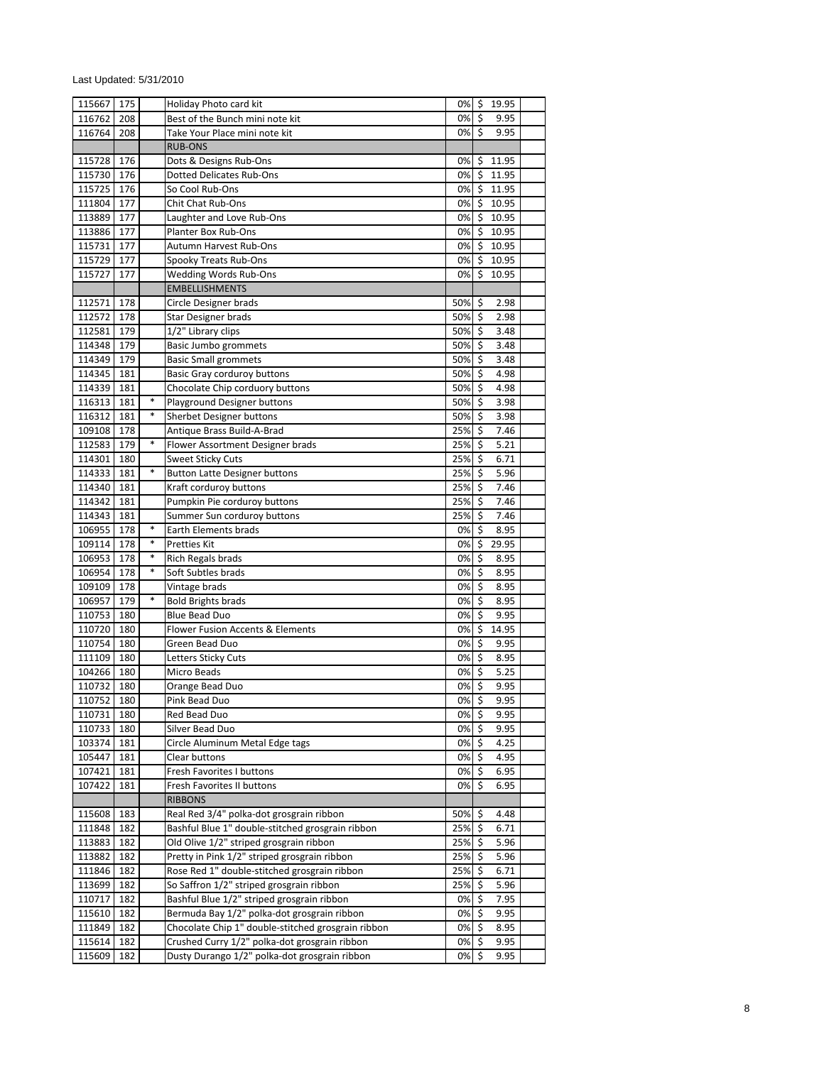| 115667 | 175        |        | Holiday Photo card kit                                                                         | 0%       |                           | \$19.95      |  |
|--------|------------|--------|------------------------------------------------------------------------------------------------|----------|---------------------------|--------------|--|
| 116762 | 208        |        | Best of the Bunch mini note kit                                                                | 0%       | S.                        | 9.95         |  |
| 116764 | 208        |        | Take Your Place mini note kit                                                                  | 0%       | \$                        | 9.95         |  |
|        |            |        | <b>RUB-ONS</b>                                                                                 |          |                           |              |  |
|        |            |        |                                                                                                |          |                           |              |  |
| 115728 | 176        |        | Dots & Designs Rub-Ons                                                                         | 0%       | \$                        | 11.95        |  |
| 115730 | 176        |        | Dotted Delicates Rub-Ons                                                                       | 0%       | \$                        | 11.95        |  |
| 115725 | 176        |        | So Cool Rub-Ons                                                                                | 0%       | \$                        | 11.95        |  |
| 111804 | 177        |        | Chit Chat Rub-Ons                                                                              | 0%       | $\mathsf{\$}$             | 10.95        |  |
| 113889 | 177        |        | Laughter and Love Rub-Ons                                                                      | 0%       | \$                        | 10.95        |  |
| 113886 | 177        |        | Planter Box Rub-Ons                                                                            | 0%       | \$                        | 10.95        |  |
| 115731 | 177        |        | Autumn Harvest Rub-Ons                                                                         | 0%       | \$                        | 10.95        |  |
| 115729 | 177        |        | Spooky Treats Rub-Ons                                                                          | 0%       | $\boldsymbol{\zeta}$      | 10.95        |  |
| 115727 | 177        |        | Wedding Words Rub-Ons                                                                          | 0%       | \$                        | 10.95        |  |
|        |            |        | <b>EMBELLISHMENTS</b>                                                                          |          |                           |              |  |
| 112571 | 178        |        | Circle Designer brads                                                                          | 50%      | \$                        | 2.98         |  |
| 112572 | 178        |        | Star Designer brads                                                                            | 50%      | \$                        | 2.98         |  |
| 112581 | 179        |        | $1/2$ " Library clips                                                                          | 50%      | $\ddot{\mathsf{S}}$       | 3.48         |  |
| 114348 | 179        |        | <b>Basic Jumbo grommets</b>                                                                    | 50%      | $\ddot{\mathsf{S}}$       | 3.48         |  |
| 114349 | 179        |        | <b>Basic Small grommets</b>                                                                    | 50%      | \$                        | 3.48         |  |
| 114345 | 181        |        | Basic Gray corduroy buttons                                                                    | 50%      | $\mathsf{\dot{S}}$        | 4.98         |  |
|        |            |        | Chocolate Chip corduory buttons                                                                | 50%      | \$                        | 4.98         |  |
| 114339 | 181        | $\ast$ |                                                                                                |          |                           |              |  |
| 116313 | 181        | $\ast$ | Playground Designer buttons                                                                    | 50%      | $\ddot{\mathsf{S}}$       | 3.98         |  |
| 116312 | 181        |        | <b>Sherbet Designer buttons</b>                                                                | 50%      | -\$                       | 3.98         |  |
| 109108 | 178        |        | Antique Brass Build-A-Brad                                                                     | 25%      | -\$                       | 7.46         |  |
| 112583 | 179        | *      | Flower Assortment Designer brads                                                               | 25%      | $\mathsf{\$}$             | 5.21         |  |
| 114301 | 180        |        | <b>Sweet Sticky Cuts</b>                                                                       | 25%      | \$                        | 6.71         |  |
| 114333 | 181        | $\ast$ | <b>Button Latte Designer buttons</b>                                                           | 25%      | \$                        | 5.96         |  |
| 114340 | 181        |        | Kraft corduroy buttons                                                                         | 25%      | \$                        | 7.46         |  |
| 114342 | 181        |        | Pumpkin Pie corduroy buttons                                                                   | 25%      | $\zeta$                   | 7.46         |  |
| 114343 | 181        |        | Summer Sun corduroy buttons                                                                    | 25%      | \$                        | 7.46         |  |
| 106955 | 178        | $\ast$ | Earth Elements brads                                                                           | 0%       | \$                        | 8.95         |  |
| 109114 | 178        | $\ast$ | <b>Pretties Kit</b>                                                                            | 0%       | \$                        | 29.95        |  |
| 106953 | 178        | $\ast$ | Rich Regals brads                                                                              | 0%       | \$                        | 8.95         |  |
| 106954 | 178        | *      | Soft Subtles brads                                                                             | 0%       | \$                        | 8.95         |  |
| 109109 | 178        |        | Vintage brads                                                                                  | 0%       | \$                        | 8.95         |  |
| 106957 | 179        | $\ast$ | <b>Bold Brights brads</b>                                                                      | 0%       | \$                        | 8.95         |  |
| 110753 | 180        |        | <b>Blue Bead Duo</b>                                                                           | 0%       | $\boldsymbol{\zeta}$      | 9.95         |  |
| 110720 |            |        | <b>Flower Fusion Accents &amp; Elements</b>                                                    |          | \$                        | 14.95        |  |
|        | 180        |        |                                                                                                | 0%       |                           |              |  |
| 110754 | 180        |        | Green Bead Duo                                                                                 | 0%       | $\zeta$                   | 9.95         |  |
| 111109 | 180        |        | Letters Sticky Cuts                                                                            | 0%       | \$                        | 8.95         |  |
| 104266 | 180        |        | Micro Beads                                                                                    | 0%       | \$                        | 5.25         |  |
| 110732 | 180        |        | Orange Bead Duo                                                                                | 0%       | \$                        | 9.95         |  |
| 110752 | 180        |        | Pink Bead Duo                                                                                  | 0% \$    |                           | 9.95         |  |
| 110731 | 180        |        | Red Bead Duo                                                                                   | 0%       | $\sqrt{5}$                | 9.95         |  |
| 110733 | 180        |        | Silver Bead Duo                                                                                | 0%       | $\zeta$                   | 9.95         |  |
| 103374 | 181        |        | Circle Aluminum Metal Edge tags                                                                | 0%       | $\ddot{\mathsf{S}}$       | 4.25         |  |
| 105447 | 181        |        | Clear buttons                                                                                  | 0%       | \$                        | 4.95         |  |
| 107421 | 181        |        | Fresh Favorites I buttons                                                                      | 0%       | $\zeta$                   | 6.95         |  |
| 107422 | 181        |        | Fresh Favorites II buttons                                                                     | 0%       | \$                        | 6.95         |  |
|        |            |        | <b>RIBBONS</b>                                                                                 |          |                           |              |  |
| 115608 | 183        |        | Real Red 3/4" polka-dot grosgrain ribbon                                                       | 50%      | -\$                       | 4.48         |  |
| 111848 | 182        |        | Bashful Blue 1" double-stitched grosgrain ribbon                                               | 25%      | $\zeta$                   | 6.71         |  |
| 113883 | 182        |        | Old Olive 1/2" striped grosgrain ribbon                                                        | 25%      | \$                        | 5.96         |  |
| 113882 | 182        |        | Pretty in Pink 1/2" striped grosgrain ribbon                                                   | 25%      | $\ddot{\mathsf{S}}$       | 5.96         |  |
| 111846 | 182        |        | Rose Red 1" double-stitched grosgrain ribbon                                                   | 25%      | \$                        | 6.71         |  |
| 113699 | 182        |        | So Saffron 1/2" striped grosgrain ribbon                                                       | 25%      | \$                        | 5.96         |  |
| 110717 | 182        |        | Bashful Blue 1/2" striped grosgrain ribbon                                                     | 0%       | \$                        | 7.95         |  |
| 115610 | 182        |        | Bermuda Bay 1/2" polka-dot grosgrain ribbon                                                    | 0%       | \$                        | 9.95         |  |
| 111849 | 182        |        | Chocolate Chip 1" double-stitched grosgrain ribbon                                             | 0%       | \$                        | 8.95         |  |
|        |            |        |                                                                                                |          |                           |              |  |
| 115614 | 182<br>182 |        | Crushed Curry 1/2" polka-dot grosgrain ribbon<br>Dusty Durango 1/2" polka-dot grosgrain ribbon | 0%<br>0% | $\ddot{\mathsf{S}}$<br>\$ | 9.95<br>9.95 |  |
| 115609 |            |        |                                                                                                |          |                           |              |  |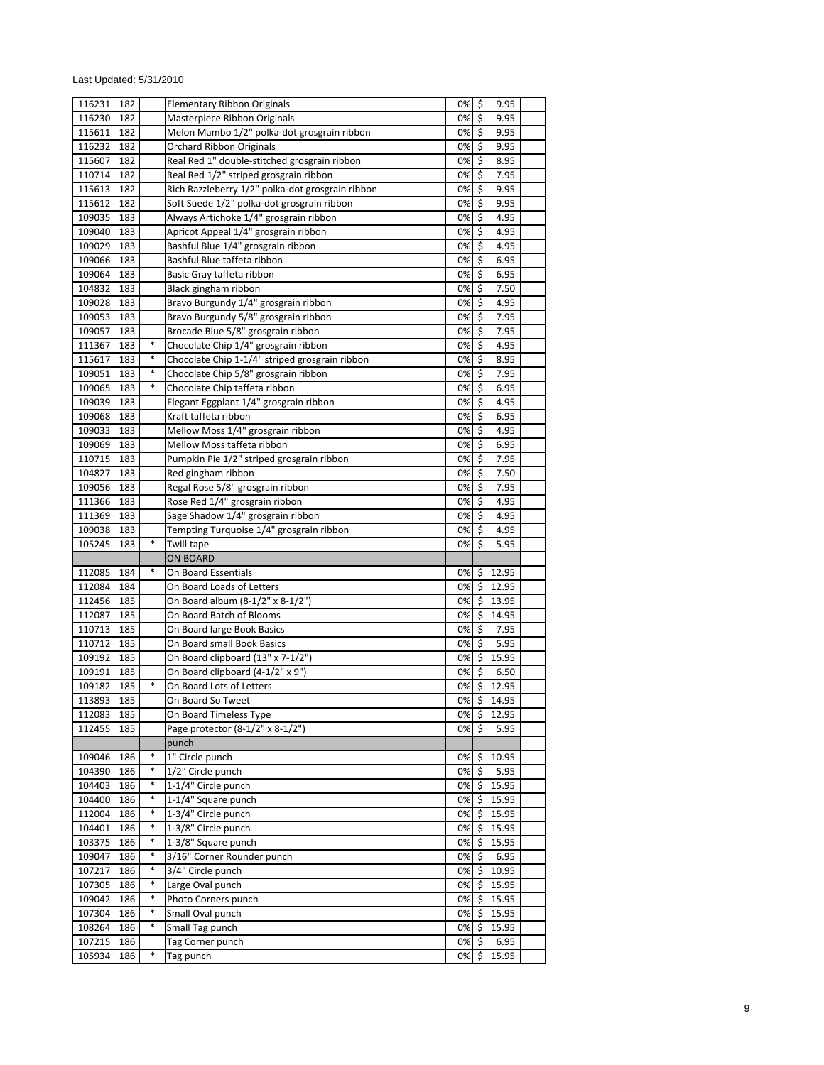| 116231           | 182        |        | <b>Elementary Ribbon Originals</b>               | 0%          | \$                  | 9.95          |  |
|------------------|------------|--------|--------------------------------------------------|-------------|---------------------|---------------|--|
| 116230           | 182        |        | Masterpiece Ribbon Originals                     | 0%          | \$                  | 9.95          |  |
| 115611           | 182        |        | Melon Mambo 1/2" polka-dot grosgrain ribbon      | 0%          | \$                  | 9.95          |  |
| 116232           | 182        |        | <b>Orchard Ribbon Originals</b>                  | 0%          | $\mathsf{\$}$       | 9.95          |  |
| 115607           | 182        |        | Real Red 1" double-stitched grosgrain ribbon     | 0%          | \$                  | 8.95          |  |
| 110714           | 182        |        | Real Red 1/2" striped grosgrain ribbon           | 0%          | \$                  | 7.95          |  |
|                  |            |        | Rich Razzleberry 1/2" polka-dot grosgrain ribbon | 0%          | \$                  |               |  |
| 115613           | 182        |        |                                                  |             |                     | 9.95          |  |
| 115612           | 182        |        | Soft Suede 1/2" polka-dot grosgrain ribbon       | 0%          | \$                  | 9.95          |  |
| 109035           | 183        |        | Always Artichoke 1/4" grosgrain ribbon           | 0%          | \$                  | 4.95          |  |
| 109040           | 183        |        | Apricot Appeal 1/4" grosgrain ribbon             | 0%          | \$                  | 4.95          |  |
| 109029           | 183        |        | Bashful Blue 1/4" grosgrain ribbon               | 0%          | \$                  | 4.95          |  |
| 109066           | 183        |        | Bashful Blue taffeta ribbon                      | 0%          | $\zeta$             | 6.95          |  |
| 109064           | 183        |        | Basic Gray taffeta ribbon                        | 0%          | \$                  | 6.95          |  |
| 104832           | 183        |        | Black gingham ribbon                             | 0%          | \$                  | 7.50          |  |
| 109028           | 183        |        | Bravo Burgundy 1/4" grosgrain ribbon             | 0%          | \$                  | 4.95          |  |
| 109053           | 183        |        | Bravo Burgundy 5/8" grosgrain ribbon             | 0%          | \$                  | 7.95          |  |
| 109057           | 183        |        | Brocade Blue 5/8" grosgrain ribbon               | 0%          | \$                  | 7.95          |  |
| 111367           | 183        | *      | Chocolate Chip 1/4" grosgrain ribbon             | 0%          | \$                  | 4.95          |  |
|                  |            | *      | Chocolate Chip 1-1/4" striped grosgrain ribbon   | 0%          | \$                  |               |  |
| 115617           | 183        | $\ast$ |                                                  |             |                     | 8.95          |  |
| 109051           | 183        |        | Chocolate Chip 5/8" grosgrain ribbon             | 0%          | \$                  | 7.95          |  |
| 109065           | 183        | *      | Chocolate Chip taffeta ribbon                    | 0%          | \$                  | 6.95          |  |
| 109039           | 183        |        | Elegant Eggplant 1/4" grosgrain ribbon           | 0%          | \$                  | 4.95          |  |
| 109068           | 183        |        | Kraft taffeta ribbon                             | 0%          | \$                  | 6.95          |  |
| 109033           | 183        |        | Mellow Moss 1/4" grosgrain ribbon                | 0%          | \$                  | 4.95          |  |
| 109069           | 183        |        | Mellow Moss taffeta ribbon                       | 0%          | \$                  | 6.95          |  |
| 110715           | 183        |        | Pumpkin Pie 1/2" striped grosgrain ribbon        | 0%          | \$                  | 7.95          |  |
| 104827           | 183        |        | Red gingham ribbon                               | 0%          | \$                  | 7.50          |  |
| 109056           | 183        |        | Regal Rose 5/8" grosgrain ribbon                 | 0%          | \$                  | 7.95          |  |
| 111366           | 183        |        | Rose Red 1/4" grosgrain ribbon                   | 0%          | \$                  | 4.95          |  |
| 111369           | 183        |        | Sage Shadow 1/4" grosgrain ribbon                | 0%          | \$                  | 4.95          |  |
|                  |            |        |                                                  |             |                     |               |  |
| 109038           | 183        |        | Tempting Turquoise 1/4" grosgrain ribbon         | 0%          | \$                  | 4.95          |  |
|                  |            |        |                                                  |             |                     |               |  |
| 105245           | 183        | $\ast$ | Twill tape                                       | 0%          | \$                  | 5.95          |  |
|                  |            |        | <b>ON BOARD</b>                                  |             |                     |               |  |
| 112085           | 184        | $\ast$ | On Board Essentials                              | 0%          | \$                  | 12.95         |  |
| 112084           | 184        |        | On Board Loads of Letters                        | 0%          | \$                  | 12.95         |  |
| 112456           | 185        |        | On Board album (8-1/2" x 8-1/2")                 | 0%          | \$                  | 13.95         |  |
| 112087           | 185        |        | On Board Batch of Blooms                         | 0%          | \$                  | 14.95         |  |
| 110713           | 185        |        | On Board large Book Basics                       | 0%          | \$                  | 7.95          |  |
| 110712           | 185        |        | On Board small Book Basics                       | 0%          | \$                  | 5.95          |  |
| 109192           | 185        |        | On Board clipboard (13" x 7-1/2")                | 0%          | \$                  | 15.95         |  |
| 109191           | 185        |        |                                                  | 0%          |                     | 6.50          |  |
|                  |            | *      | On Board clipboard (4-1/2" x 9")                 |             | \$                  |               |  |
| 109182           | 185        |        | On Board Lots of Letters                         | 0%          | $\mathsf{\$}$       | 12.95         |  |
| 113893           | 185        |        | On Board So Tweet                                |             |                     | 0% \$14.95    |  |
| 112083           | 185        |        | On Board Timeless Type                           | 0%          | \$                  | 12.95         |  |
| 112455           | 185        |        | Page protector (8-1/2" x 8-1/2")                 | 0%          | \$                  | 5.95          |  |
|                  |            |        | punch                                            |             |                     |               |  |
| 109046           | 186        | *      | 1" Circle punch                                  | 0%          |                     | \$10.95       |  |
| 104390           | 186        | *      | 1/2" Circle punch                                | 0%          | $\ddot{\mathsf{S}}$ | 5.95          |  |
| 104403           | 186        | *      | 1-1/4" Circle punch                              | 0%          | $\ddot{\varsigma}$  | 15.95         |  |
| 104400           | 186        | $\ast$ | 1-1/4" Square punch                              | 0%          | $\zeta$             | 15.95         |  |
| 112004           | 186        | *      | 1-3/4" Circle punch                              | 0%          | \$                  | 15.95         |  |
| 104401           | 186        | *      | 1-3/8" Circle punch                              | 0%          | \$                  | 15.95         |  |
| 103375           | 186        | *      | 1-3/8" Square punch                              | 0%          | \$                  | 15.95         |  |
|                  |            | $\ast$ |                                                  |             | $\zeta$             |               |  |
| 109047           | 186        | *      | 3/16" Corner Rounder punch                       | 0%          |                     | 6.95          |  |
| 107217           | 186        | *      | 3/4" Circle punch                                | 0%          | \$                  | 10.95         |  |
| 107305           | 186        |        | Large Oval punch                                 | 0%          | \$                  | 15.95         |  |
| 109042           | 186        | $\ast$ | Photo Corners punch                              | 0%          | \$                  | 15.95         |  |
| 107304           | 186        | *      | Small Oval punch                                 | 0%          | -\$                 | 15.95         |  |
| 108264           | 186        | $\ast$ | Small Tag punch                                  | 0%          | $\ddot{\mathsf{S}}$ | 15.95         |  |
| 107215<br>105934 | 186<br>186 | $\ast$ | Tag Corner punch<br>Tag punch                    | $0\%$<br>0% | \$<br>\$            | 6.95<br>15.95 |  |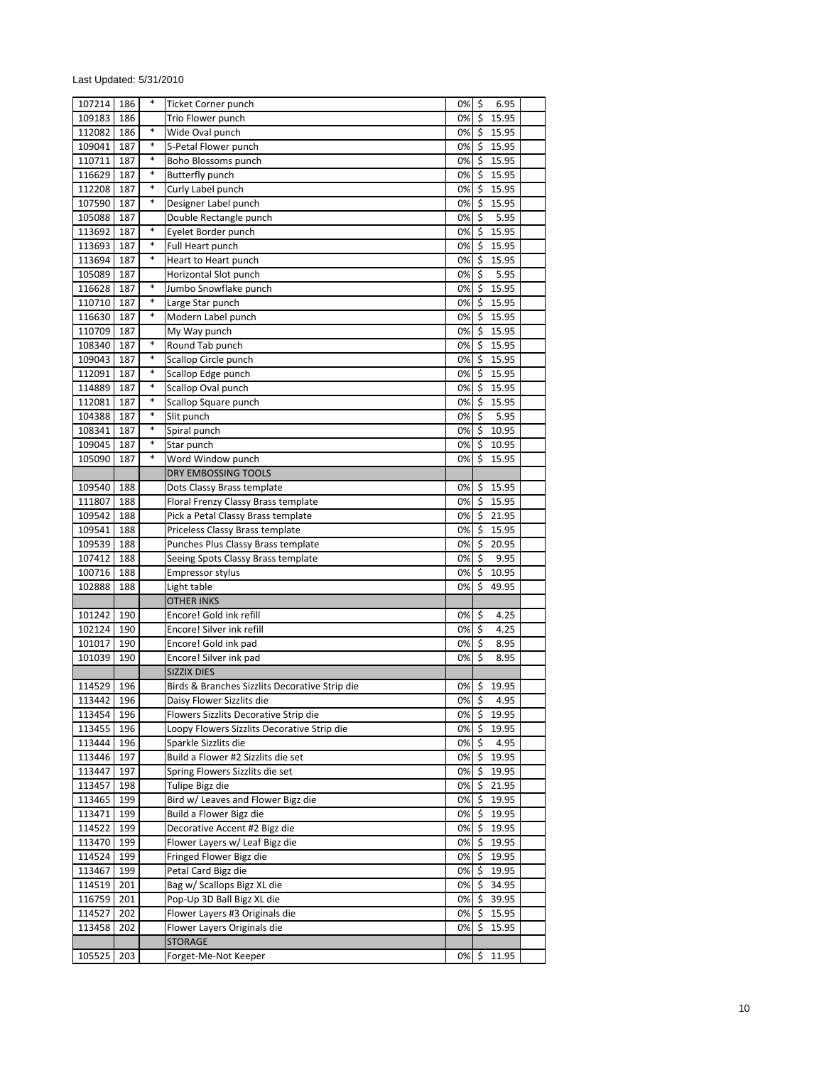|        |     | *      |                                                |       |                              |  |
|--------|-----|--------|------------------------------------------------|-------|------------------------------|--|
| 107214 | 186 |        | Ticket Corner punch                            | 0%    | \$<br>6.95                   |  |
| 109183 | 186 |        | Trio Flower punch                              | 0%    | \$<br>15.95                  |  |
| 112082 | 186 | $\ast$ | Wide Oval punch                                | 0%    | \$15.95                      |  |
| 109041 | 187 | $\ast$ | 5-Petal Flower punch                           | 0%    | Ś.<br>15.95                  |  |
| 110711 | 187 | *      | <b>Boho Blossoms punch</b>                     | 0%    | \$<br>15.95                  |  |
| 116629 | 187 | $\ast$ | <b>Butterfly punch</b>                         | 0%    | \$<br>15.95                  |  |
| 112208 | 187 | $\ast$ | Curly Label punch                              | 0%    | \$<br>15.95                  |  |
| 107590 | 187 | $\ast$ | Designer Label punch                           | 0%    | \$<br>15.95                  |  |
| 105088 | 187 |        | Double Rectangle punch                         | 0%    | \$<br>5.95                   |  |
| 113692 | 187 | *      | Eyelet Border punch                            | 0%    | \$<br>15.95                  |  |
|        |     | $\ast$ |                                                |       |                              |  |
| 113693 | 187 | $\ast$ | Full Heart punch                               | 0%    | \$<br>15.95                  |  |
| 113694 | 187 |        | Heart to Heart punch                           | 0%    | \$<br>15.95                  |  |
| 105089 | 187 |        | Horizontal Slot punch                          | 0%    | \$<br>5.95                   |  |
| 116628 | 187 | $\ast$ | Jumbo Snowflake punch                          | 0%    | \$<br>15.95                  |  |
| 110710 | 187 | $\ast$ | Large Star punch                               | 0%    | \$<br>15.95                  |  |
| 116630 | 187 | $\ast$ | Modern Label punch                             | 0%    | \$<br>15.95                  |  |
| 110709 | 187 |        | My Way punch                                   | 0%    | \$<br>15.95                  |  |
| 108340 | 187 | *      | Round Tab punch                                | 0%    | \$<br>15.95                  |  |
| 109043 | 187 | *      | Scallop Circle punch                           | 0%    | \$<br>15.95                  |  |
| 112091 | 187 | $\ast$ | Scallop Edge punch                             | 0%    | \$<br>15.95                  |  |
| 114889 | 187 | *      | Scallop Oval punch                             | 0%    | \$<br>15.95                  |  |
| 112081 | 187 | *      | Scallop Square punch                           | 0%    | \$<br>15.95                  |  |
| 104388 | 187 | *      | Slit punch                                     | 0%    | \$<br>5.95                   |  |
|        |     | *      |                                                |       |                              |  |
| 108341 | 187 | $\ast$ | Spiral punch                                   | 0%    | \$<br>10.95                  |  |
| 109045 | 187 |        | Star punch                                     | 0%    | \$<br>10.95                  |  |
| 105090 | 187 | $\ast$ | Word Window punch                              | 0%    | \$<br>15.95                  |  |
|        |     |        | <b>DRY EMBOSSING TOOLS</b>                     |       |                              |  |
| 109540 | 188 |        | Dots Classy Brass template                     | 0%    | \$<br>15.95                  |  |
| 111807 | 188 |        | Floral Frenzy Classy Brass template            | 0%    | \$<br>15.95                  |  |
| 109542 | 188 |        | Pick a Petal Classy Brass template             | 0%    | \$<br>21.95                  |  |
| 109541 | 188 |        | Priceless Classy Brass template                | 0%    | \$<br>15.95                  |  |
| 109539 | 188 |        | Punches Plus Classy Brass template             | 0%    | \$<br>20.95                  |  |
| 107412 | 188 |        | Seeing Spots Classy Brass template             | 0%    | $\boldsymbol{\zeta}$<br>9.95 |  |
| 100716 | 188 |        | Empressor stylus                               | 0%    | \$<br>10.95                  |  |
| 102888 | 188 |        | Light table                                    | 0%    | \$<br>49.95                  |  |
|        |     |        | <b>OTHER INKS</b>                              |       |                              |  |
|        |     |        | Encore! Gold ink refill                        |       |                              |  |
| 101242 | 190 |        |                                                | 0%    | \$<br>4.25                   |  |
| 102124 | 190 |        | Encore! Silver ink refill                      | 0%    | \$<br>4.25                   |  |
| 101017 | 190 |        | Encore! Gold ink pad                           | 0%    | \$<br>8.95                   |  |
| 101039 | 190 |        | Encore! Silver ink pad                         | 0%    | \$<br>8.95                   |  |
|        |     |        | <b>SIZZIX DIES</b>                             |       |                              |  |
| 114529 | 196 |        | Birds & Branches Sizzlits Decorative Strip die | 0%    | \$<br>19.95                  |  |
| 113442 | 196 |        | Daisy Flower Sizzlits die                      | 0% \$ | 4.95                         |  |
| 113454 | 196 |        | Flowers Sizzlits Decorative Strip die          | 0%    | $\zeta$<br>19.95             |  |
| 113455 | 196 |        | Loopy Flowers Sizzlits Decorative Strip die    | 0%    | \$<br>19.95                  |  |
| 113444 | 196 |        | Sparkle Sizzlits die                           | 0%    | \$<br>4.95                   |  |
| 113446 | 197 |        | Build a Flower #2 Sizzlits die set             | 0%    | \$<br>19.95                  |  |
| 113447 | 197 |        | Spring Flowers Sizzlits die set                | 0%    | \$<br>19.95                  |  |
| 113457 | 198 |        | Tulipe Bigz die                                | 0%    | \$<br>21.95                  |  |
| 113465 | 199 |        | Bird w/ Leaves and Flower Bigz die             | 0%    | \$<br>19.95                  |  |
|        |     |        | Build a Flower Bigz die                        |       |                              |  |
| 113471 | 199 |        |                                                | 0%    | \$<br>19.95                  |  |
| 114522 | 199 |        | Decorative Accent #2 Bigz die                  | 0%    | \$<br>19.95                  |  |
| 113470 | 199 |        | Flower Layers w/ Leaf Bigz die                 | 0%    | \$<br>19.95                  |  |
| 114524 | 199 |        | Fringed Flower Bigz die                        | 0%    | \$<br>19.95                  |  |
| 113467 | 199 |        | Petal Card Bigz die                            | 0%    | \$<br>19.95                  |  |
| 114519 | 201 |        | Bag w/ Scallops Bigz XL die                    | 0%    | \$<br>34.95                  |  |
| 116759 | 201 |        | Pop-Up 3D Ball Bigz XL die                     | 0%    | \$<br>39.95                  |  |
| 114527 | 202 |        | Flower Layers #3 Originals die                 | 0%    | \$<br>15.95                  |  |
| 113458 | 202 |        | Flower Layers Originals die                    | 0%    | \$<br>15.95                  |  |
|        |     |        | <b>STORAGE</b>                                 |       |                              |  |
| 105525 | 203 |        | Forget-Me-Not Keeper                           | 0%    | 11.95<br>\$.                 |  |
|        |     |        |                                                |       |                              |  |